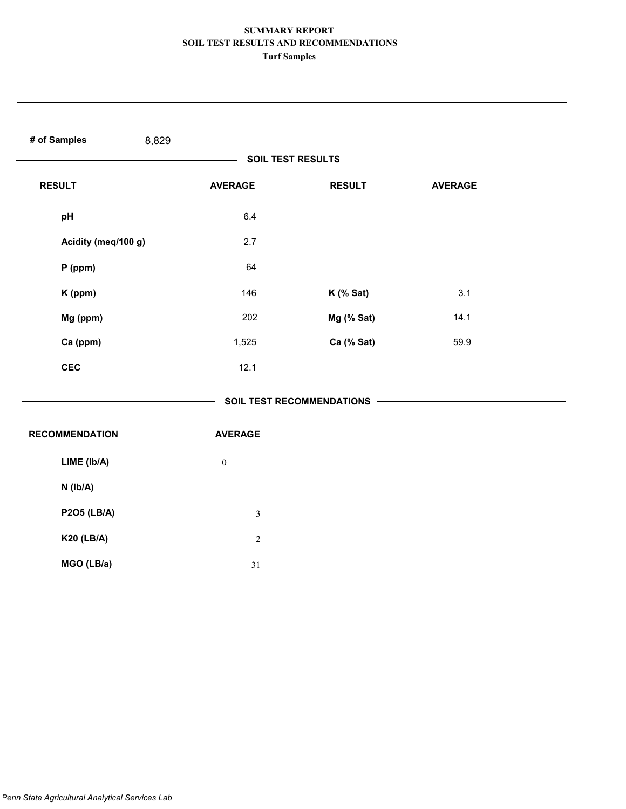| # of Samples<br>8,829 |                  |                           |                |  |
|-----------------------|------------------|---------------------------|----------------|--|
|                       |                  | <b>SOIL TEST RESULTS</b>  |                |  |
| <b>RESULT</b>         | <b>AVERAGE</b>   | <b>RESULT</b>             | <b>AVERAGE</b> |  |
| pH                    | 6.4              |                           |                |  |
| Acidity (meq/100 g)   | 2.7              |                           |                |  |
| $P$ (ppm)             | 64               |                           |                |  |
| K (ppm)               | 146              | $K$ (% Sat)               | 3.1            |  |
| Mg (ppm)              | 202              | Mg (% Sat)                | 14.1           |  |
| Ca (ppm)              | 1,525            | Ca (% Sat)                | 59.9           |  |
| <b>CEC</b>            | 12.1             |                           |                |  |
|                       |                  | SOIL TEST RECOMMENDATIONS |                |  |
| <b>RECOMMENDATION</b> | <b>AVERAGE</b>   |                           |                |  |
| LIME (Ib/A)           | $\boldsymbol{0}$ |                           |                |  |
| N (Ib/A)              |                  |                           |                |  |
| <b>P2O5 (LB/A)</b>    | $\mathfrak{Z}$   |                           |                |  |
| <b>K20 (LB/A)</b>     | $\sqrt{2}$       |                           |                |  |
| MGO (LB/a)            | 31               |                           |                |  |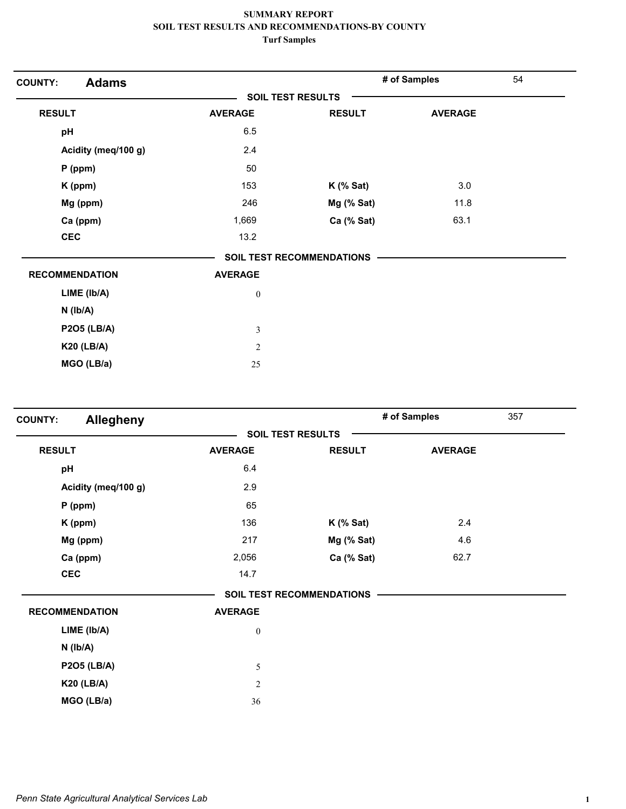| <b>Adams</b><br><b>COUNTY:</b> |                  |                                  | # of Samples   | 54 |
|--------------------------------|------------------|----------------------------------|----------------|----|
|                                |                  | <b>SOIL TEST RESULTS</b>         |                |    |
| <b>RESULT</b>                  | <b>AVERAGE</b>   | <b>RESULT</b>                    | <b>AVERAGE</b> |    |
| pH                             | 6.5              |                                  |                |    |
| Acidity (meq/100 g)            | 2.4              |                                  |                |    |
| $P$ (ppm)                      | 50               |                                  |                |    |
| K (ppm)                        | 153              | $K$ (% Sat)                      | 3.0            |    |
| Mg (ppm)                       | 246              | Mg (% Sat)                       | 11.8           |    |
| Ca (ppm)                       | 1,669            | Ca (% Sat)                       | 63.1           |    |
| <b>CEC</b>                     | 13.2             |                                  |                |    |
|                                |                  | <b>SOIL TEST RECOMMENDATIONS</b> |                |    |
| <b>RECOMMENDATION</b>          | <b>AVERAGE</b>   |                                  |                |    |
| LIME (Ib/A)                    | $\boldsymbol{0}$ |                                  |                |    |
| $N$ ( $lb/A$ )                 |                  |                                  |                |    |
| <b>P2O5 (LB/A)</b>             | $\mathfrak{Z}$   |                                  |                |    |
| <b>K20 (LB/A)</b>              | $\overline{2}$   |                                  |                |    |
| MGO (LB/a)                     | 25               |                                  |                |    |

| <b>COUNTY:</b> | Allegheny             |                  |                           | # of Samples   | 357 |
|----------------|-----------------------|------------------|---------------------------|----------------|-----|
|                |                       |                  | <b>SOIL TEST RESULTS</b>  |                |     |
| <b>RESULT</b>  |                       | <b>AVERAGE</b>   | <b>RESULT</b>             | <b>AVERAGE</b> |     |
| pH             |                       | 6.4              |                           |                |     |
|                | Acidity (meq/100 g)   | 2.9              |                           |                |     |
|                | $P$ (ppm)             | 65               |                           |                |     |
|                | K (ppm)               | 136              | $K$ (% Sat)               | 2.4            |     |
|                | Mg (ppm)              | 217              | Mg (% Sat)                | 4.6            |     |
|                | Ca (ppm)              | 2,056            | Ca (% Sat)                | 62.7           |     |
| <b>CEC</b>     |                       | 14.7             |                           |                |     |
|                |                       |                  | SOIL TEST RECOMMENDATIONS |                |     |
|                | <b>RECOMMENDATION</b> | <b>AVERAGE</b>   |                           |                |     |
|                | LIME (Ib/A)           | $\boldsymbol{0}$ |                           |                |     |
|                | $N$ ( $lb/A$ )        |                  |                           |                |     |
|                | <b>P2O5 (LB/A)</b>    | 5                |                           |                |     |
|                | <b>K20 (LB/A)</b>     | $\overline{2}$   |                           |                |     |
|                | MGO (LB/a)            | 36               |                           |                |     |
|                |                       |                  |                           |                |     |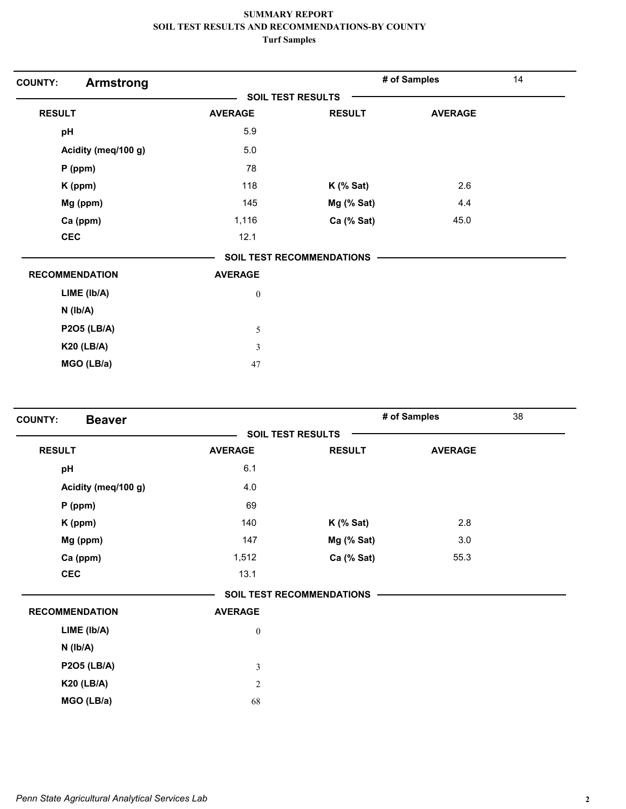| <b>COUNTY:</b><br><b>Armstrong</b> |                  |                           | # of Samples   | 14 |
|------------------------------------|------------------|---------------------------|----------------|----|
|                                    |                  | <b>SOIL TEST RESULTS</b>  |                |    |
| <b>RESULT</b>                      | <b>AVERAGE</b>   | <b>RESULT</b>             | <b>AVERAGE</b> |    |
| pH                                 | 5.9              |                           |                |    |
| Acidity (meq/100 g)                | 5.0              |                           |                |    |
| $P$ (ppm)                          | 78               |                           |                |    |
| K (ppm)                            | 118              | $K$ (% Sat)               | 2.6            |    |
| Mg (ppm)                           | 145              | Mg (% Sat)                | 4.4            |    |
| Ca (ppm)                           | 1,116            | Ca (% Sat)                | 45.0           |    |
| <b>CEC</b>                         | 12.1             |                           |                |    |
|                                    |                  | SOIL TEST RECOMMENDATIONS |                |    |
| <b>RECOMMENDATION</b>              | <b>AVERAGE</b>   |                           |                |    |
| LIME (Ib/A)                        | $\boldsymbol{0}$ |                           |                |    |
| $N$ ( $Ib/A$ )                     |                  |                           |                |    |
| <b>P2O5 (LB/A)</b>                 | 5                |                           |                |    |
| <b>K20 (LB/A)</b>                  | $\mathfrak{Z}$   |                           |                |    |
| MGO (LB/a)                         | 47               |                           |                |    |

| <b>COUNTY:</b><br><b>Beaver</b> |                  |                                  | # of Samples   | 38 |
|---------------------------------|------------------|----------------------------------|----------------|----|
|                                 |                  | <b>SOIL TEST RESULTS</b>         |                |    |
| <b>RESULT</b>                   | <b>AVERAGE</b>   | <b>RESULT</b>                    | <b>AVERAGE</b> |    |
| pH                              | 6.1              |                                  |                |    |
| Acidity (meq/100 g)             | 4.0              |                                  |                |    |
| $P$ (ppm)                       | 69               |                                  |                |    |
| K (ppm)                         | 140              | $K$ (% Sat)                      | 2.8            |    |
| Mg (ppm)                        | 147              | Mg (% Sat)                       | 3.0            |    |
| Ca (ppm)                        | 1,512            | Ca (% Sat)                       | 55.3           |    |
| <b>CEC</b>                      | 13.1             |                                  |                |    |
|                                 |                  | <b>SOIL TEST RECOMMENDATIONS</b> |                |    |
| <b>RECOMMENDATION</b>           | <b>AVERAGE</b>   |                                  |                |    |
| LIME (Ib/A)                     | $\boldsymbol{0}$ |                                  |                |    |
| $N$ ( $Ib/A$ )                  |                  |                                  |                |    |
| <b>P2O5 (LB/A)</b>              | $\mathfrak{Z}$   |                                  |                |    |
| <b>K20 (LB/A)</b>               | $\overline{c}$   |                                  |                |    |
| MGO (LB/a)                      | 68               |                                  |                |    |
|                                 |                  |                                  |                |    |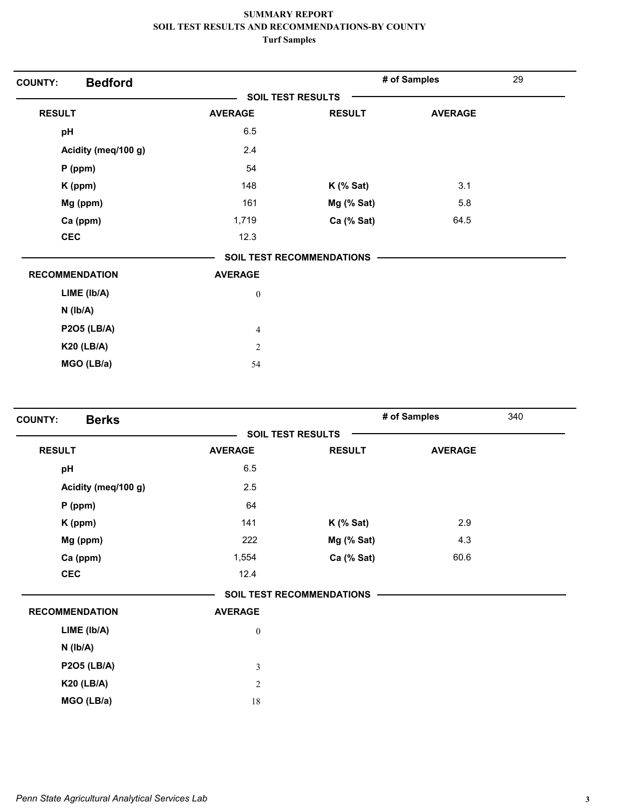| <b>Bedford</b><br><b>COUNTY:</b> |                  |                                  | # of Samples   | 29 |
|----------------------------------|------------------|----------------------------------|----------------|----|
|                                  |                  | <b>SOIL TEST RESULTS</b>         |                |    |
| <b>RESULT</b>                    | <b>AVERAGE</b>   | <b>RESULT</b>                    | <b>AVERAGE</b> |    |
| pH                               | 6.5              |                                  |                |    |
| Acidity (meq/100 g)              | 2.4              |                                  |                |    |
| $P$ (ppm)                        | 54               |                                  |                |    |
| K (ppm)                          | 148              | $K$ (% Sat)                      | 3.1            |    |
| Mg (ppm)                         | 161              | Mg (% Sat)                       | 5.8            |    |
| Ca (ppm)                         | 1,719            | Ca (% Sat)                       | 64.5           |    |
| <b>CEC</b>                       | 12.3             |                                  |                |    |
|                                  |                  | <b>SOIL TEST RECOMMENDATIONS</b> |                |    |
| <b>RECOMMENDATION</b>            | <b>AVERAGE</b>   |                                  |                |    |
| LIME (Ib/A)                      | $\boldsymbol{0}$ |                                  |                |    |
| $N$ ( $lb/A$ )                   |                  |                                  |                |    |
| <b>P2O5 (LB/A)</b>               | $\overline{4}$   |                                  |                |    |
| <b>K20 (LB/A)</b>                | $\overline{2}$   |                                  |                |    |
| MGO (LB/a)                       | 54               |                                  |                |    |

| <b>Berks</b><br><b>COUNTY:</b> |                          |                                  | # of Samples<br>340 |  |
|--------------------------------|--------------------------|----------------------------------|---------------------|--|
|                                | <b>SOIL TEST RESULTS</b> |                                  |                     |  |
| <b>RESULT</b>                  | <b>AVERAGE</b>           | <b>RESULT</b>                    | <b>AVERAGE</b>      |  |
| pH                             | 6.5                      |                                  |                     |  |
| Acidity (meq/100 g)            | 2.5                      |                                  |                     |  |
| $P$ (ppm)                      | 64                       |                                  |                     |  |
| K (ppm)                        | 141                      | $K$ (% Sat)                      | 2.9                 |  |
| Mg (ppm)                       | 222                      | Mg (% Sat)                       | 4.3                 |  |
| Ca (ppm)                       | 1,554                    | Ca (% Sat)                       | 60.6                |  |
| <b>CEC</b>                     | 12.4                     |                                  |                     |  |
|                                |                          | <b>SOIL TEST RECOMMENDATIONS</b> |                     |  |
| <b>RECOMMENDATION</b>          | <b>AVERAGE</b>           |                                  |                     |  |
| LIME (Ib/A)                    | $\boldsymbol{0}$         |                                  |                     |  |
| $N$ ( $Ib/A$ )                 |                          |                                  |                     |  |
| <b>P2O5 (LB/A)</b>             | $\mathfrak{Z}$           |                                  |                     |  |
| <b>K20 (LB/A)</b>              | $\sqrt{2}$               |                                  |                     |  |
| MGO (LB/a)                     | 18                       |                                  |                     |  |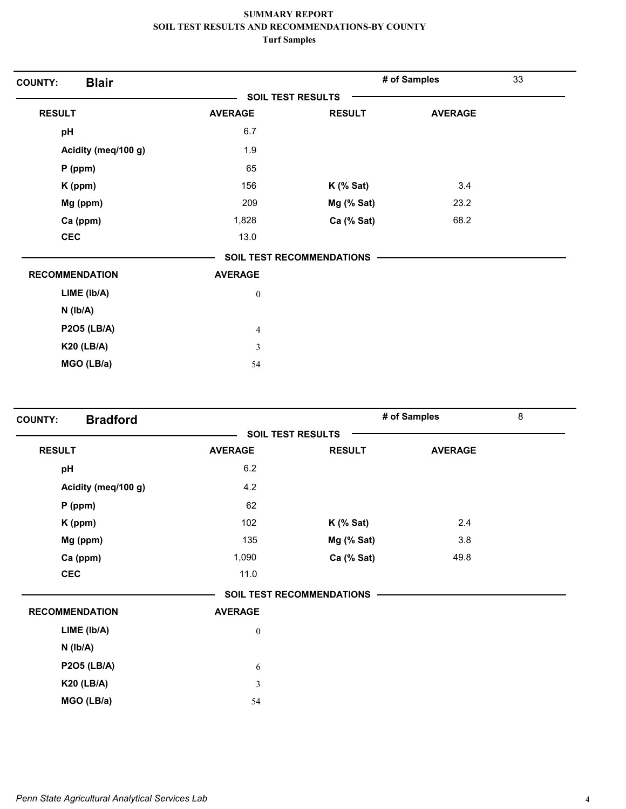| <b>Blair</b><br><b>COUNTY:</b> |                  |                                  | # of Samples   | 33 |
|--------------------------------|------------------|----------------------------------|----------------|----|
|                                |                  | <b>SOIL TEST RESULTS</b>         |                |    |
| <b>RESULT</b>                  | <b>AVERAGE</b>   | <b>RESULT</b>                    | <b>AVERAGE</b> |    |
| pH                             | 6.7              |                                  |                |    |
| Acidity (meq/100 g)            | 1.9              |                                  |                |    |
| $P$ (ppm)                      | 65               |                                  |                |    |
| K (ppm)                        | 156              | $K$ (% Sat)                      | 3.4            |    |
| Mg (ppm)                       | 209              | Mg (% Sat)                       | 23.2           |    |
| Ca (ppm)                       | 1,828            | Ca (% Sat)                       | 68.2           |    |
| <b>CEC</b>                     | 13.0             |                                  |                |    |
|                                |                  | <b>SOIL TEST RECOMMENDATIONS</b> |                |    |
| <b>RECOMMENDATION</b>          | <b>AVERAGE</b>   |                                  |                |    |
| LIME (lb/A)                    | $\boldsymbol{0}$ |                                  |                |    |
| $N$ ( $Ib/A$ )                 |                  |                                  |                |    |
| <b>P2O5 (LB/A)</b>             | $\overline{4}$   |                                  |                |    |
| <b>K20 (LB/A)</b>              | $\mathfrak{Z}$   |                                  |                |    |
| MGO (LB/a)                     | 54               |                                  |                |    |

| <b>Bradford</b><br><b>COUNTY:</b> |                          |                           | # of Samples   | 8 |
|-----------------------------------|--------------------------|---------------------------|----------------|---|
|                                   | <b>SOIL TEST RESULTS</b> |                           |                |   |
| <b>RESULT</b>                     | <b>AVERAGE</b>           | <b>RESULT</b>             | <b>AVERAGE</b> |   |
| pH                                | 6.2                      |                           |                |   |
| Acidity (meq/100 g)               | 4.2                      |                           |                |   |
| $P$ (ppm)                         | 62                       |                           |                |   |
| K (ppm)                           | 102                      | $K$ (% Sat)               | 2.4            |   |
| Mg (ppm)                          | 135                      | Mg (% Sat)                | 3.8            |   |
| Ca (ppm)                          | 1,090                    | Ca (% Sat)                | 49.8           |   |
| <b>CEC</b>                        | 11.0                     |                           |                |   |
|                                   |                          | SOIL TEST RECOMMENDATIONS |                |   |
| <b>RECOMMENDATION</b>             | <b>AVERAGE</b>           |                           |                |   |
| LIME (Ib/A)                       | $\boldsymbol{0}$         |                           |                |   |
| $N$ ( $lb/A$ )                    |                          |                           |                |   |
| <b>P2O5 (LB/A)</b>                | $\sqrt{6}$               |                           |                |   |
| <b>K20 (LB/A)</b>                 | $\mathfrak{Z}$           |                           |                |   |
| MGO (LB/a)                        | 54                       |                           |                |   |
|                                   |                          |                           |                |   |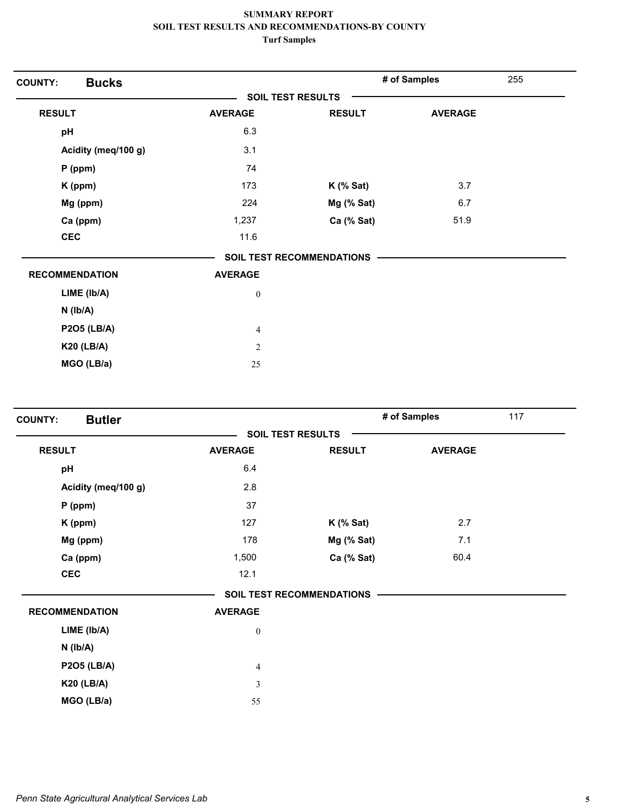| <b>Bucks</b><br><b>COUNTY:</b> |                  |                                  | # of Samples   | 255 |
|--------------------------------|------------------|----------------------------------|----------------|-----|
|                                |                  | <b>SOIL TEST RESULTS</b>         |                |     |
| <b>RESULT</b>                  | <b>AVERAGE</b>   | <b>RESULT</b>                    | <b>AVERAGE</b> |     |
| pH                             | 6.3              |                                  |                |     |
| Acidity (meq/100 g)            | 3.1              |                                  |                |     |
| $P$ (ppm)                      | 74               |                                  |                |     |
| K (ppm)                        | 173              | $K$ (% Sat)                      | 3.7            |     |
| Mg (ppm)                       | 224              | Mg (% Sat)                       | 6.7            |     |
| Ca (ppm)                       | 1,237            | Ca (% Sat)                       | 51.9           |     |
| <b>CEC</b>                     | 11.6             |                                  |                |     |
|                                |                  | <b>SOIL TEST RECOMMENDATIONS</b> |                |     |
| <b>RECOMMENDATION</b>          | <b>AVERAGE</b>   |                                  |                |     |
| LIME (Ib/A)                    | $\boldsymbol{0}$ |                                  |                |     |
| $N$ ( $lb/A$ )                 |                  |                                  |                |     |
| <b>P2O5 (LB/A)</b>             | $\overline{4}$   |                                  |                |     |
| <b>K20 (LB/A)</b>              | $\overline{2}$   |                                  |                |     |
| MGO (LB/a)                     | 25               |                                  |                |     |

| <b>Butler</b><br><b>COUNTY:</b> |                  |                                  | # of Samples<br>117 |  |
|---------------------------------|------------------|----------------------------------|---------------------|--|
|                                 |                  | <b>SOIL TEST RESULTS</b>         |                     |  |
| <b>RESULT</b>                   | <b>AVERAGE</b>   | <b>RESULT</b>                    | <b>AVERAGE</b>      |  |
| pH                              | 6.4              |                                  |                     |  |
| Acidity (meq/100 g)             | 2.8              |                                  |                     |  |
| $P$ (ppm)                       | 37               |                                  |                     |  |
| K (ppm)                         | 127              | $K$ (% Sat)                      | 2.7                 |  |
| Mg (ppm)                        | 178              | Mg (% Sat)                       | 7.1                 |  |
| Ca (ppm)                        | 1,500            | Ca (% Sat)                       | 60.4                |  |
| <b>CEC</b>                      | 12.1             |                                  |                     |  |
|                                 |                  | <b>SOIL TEST RECOMMENDATIONS</b> |                     |  |
| <b>RECOMMENDATION</b>           | <b>AVERAGE</b>   |                                  |                     |  |
| LIME (Ib/A)                     | $\boldsymbol{0}$ |                                  |                     |  |
| $N$ ( $Ib/A$ )                  |                  |                                  |                     |  |
| <b>P2O5 (LB/A)</b>              | $\overline{4}$   |                                  |                     |  |
| <b>K20 (LB/A)</b>               | $\mathfrak{Z}$   |                                  |                     |  |
| MGO (LB/a)                      | 55               |                                  |                     |  |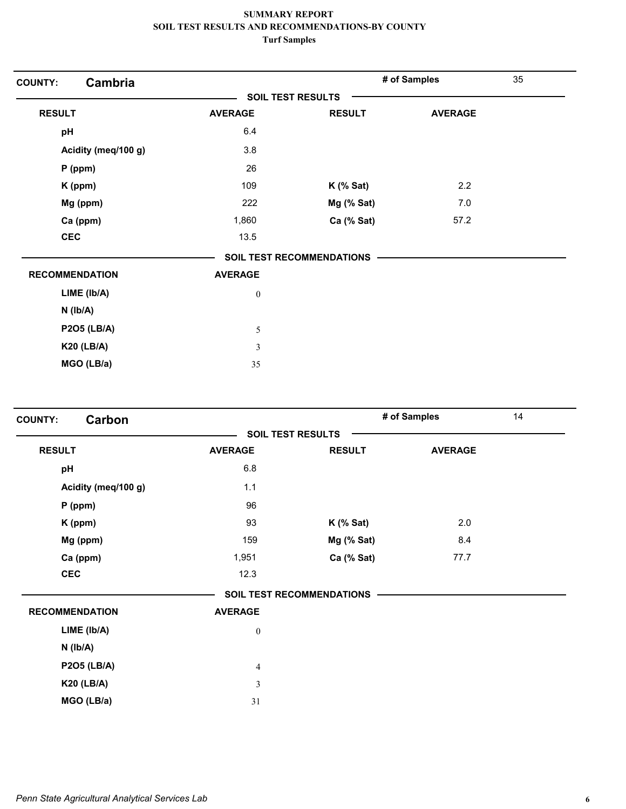| Cambria<br><b>COUNTY:</b> |                  |                           | # of Samples   | 35 |
|---------------------------|------------------|---------------------------|----------------|----|
|                           |                  | <b>SOIL TEST RESULTS</b>  |                |    |
| <b>RESULT</b>             | <b>AVERAGE</b>   | <b>RESULT</b>             | <b>AVERAGE</b> |    |
| pH                        | 6.4              |                           |                |    |
| Acidity (meq/100 g)       | 3.8              |                           |                |    |
| P (ppm)                   | 26               |                           |                |    |
| K (ppm)                   | 109              | $K$ (% Sat)               | 2.2            |    |
| Mg (ppm)                  | 222              | Mg (% Sat)                | 7.0            |    |
| Ca (ppm)                  | 1,860            | Ca (% Sat)                | 57.2           |    |
| <b>CEC</b>                | 13.5             |                           |                |    |
|                           |                  | SOIL TEST RECOMMENDATIONS |                |    |
| <b>RECOMMENDATION</b>     | <b>AVERAGE</b>   |                           |                |    |
| LIME (lb/A)               | $\boldsymbol{0}$ |                           |                |    |
| $N$ ( $lb/A$ )            |                  |                           |                |    |
| <b>P2O5 (LB/A)</b>        | $\mathfrak s$    |                           |                |    |
| <b>K20 (LB/A)</b>         | 3                |                           |                |    |
| MGO (LB/a)                | 35               |                           |                |    |

| Carbon<br><b>COUNTY:</b> |                  |                                  | # of Samples   | 14 |
|--------------------------|------------------|----------------------------------|----------------|----|
|                          |                  | <b>SOIL TEST RESULTS</b>         |                |    |
| <b>RESULT</b>            | <b>AVERAGE</b>   | <b>RESULT</b>                    | <b>AVERAGE</b> |    |
| pH                       | 6.8              |                                  |                |    |
| Acidity (meq/100 g)      | 1.1              |                                  |                |    |
| $P$ (ppm)                | 96               |                                  |                |    |
| K (ppm)                  | 93               | $K$ (% Sat)                      | 2.0            |    |
| Mg (ppm)                 | 159              | Mg (% Sat)                       | 8.4            |    |
| Ca (ppm)                 | 1,951            | Ca (% Sat)                       | 77.7           |    |
| <b>CEC</b>               | 12.3             |                                  |                |    |
|                          |                  | <b>SOIL TEST RECOMMENDATIONS</b> |                |    |
| <b>RECOMMENDATION</b>    | <b>AVERAGE</b>   |                                  |                |    |
| LIME (Ib/A)              | $\boldsymbol{0}$ |                                  |                |    |
| $N$ ( $Ib/A$ )           |                  |                                  |                |    |
| <b>P2O5 (LB/A)</b>       | $\overline{4}$   |                                  |                |    |
| <b>K20 (LB/A)</b>        | $\mathfrak{Z}$   |                                  |                |    |
| MGO (LB/a)               | 31               |                                  |                |    |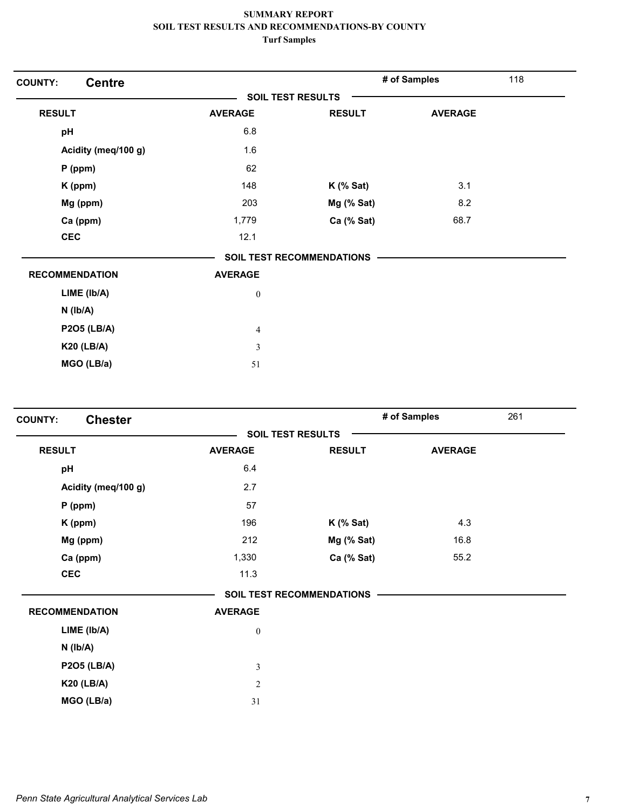| <b>Centre</b><br><b>COUNTY:</b> |                  |                                  | # of Samples   | 118 |
|---------------------------------|------------------|----------------------------------|----------------|-----|
|                                 |                  | <b>SOIL TEST RESULTS</b>         |                |     |
| <b>RESULT</b>                   | <b>AVERAGE</b>   | <b>RESULT</b>                    | <b>AVERAGE</b> |     |
| pH                              | 6.8              |                                  |                |     |
| Acidity (meq/100 g)             | 1.6              |                                  |                |     |
| $P$ (ppm)                       | 62               |                                  |                |     |
| K (ppm)                         | 148              | $K$ (% Sat)                      | 3.1            |     |
| Mg (ppm)                        | 203              | Mg (% Sat)                       | 8.2            |     |
| Ca (ppm)                        | 1,779            | Ca (% Sat)                       | 68.7           |     |
| <b>CEC</b>                      | 12.1             |                                  |                |     |
|                                 |                  | <b>SOIL TEST RECOMMENDATIONS</b> |                |     |
| <b>RECOMMENDATION</b>           | <b>AVERAGE</b>   |                                  |                |     |
| LIME (Ib/A)                     | $\boldsymbol{0}$ |                                  |                |     |
| $N$ ( $lb/A$ )                  |                  |                                  |                |     |
| <b>P2O5 (LB/A)</b>              | $\overline{4}$   |                                  |                |     |
| <b>K20 (LB/A)</b>               | $\mathfrak{Z}$   |                                  |                |     |
| MGO (LB/a)                      | 51               |                                  |                |     |

| <b>Chester</b><br><b>COUNTY:</b> |                  |                                  | 261<br># of Samples |  |
|----------------------------------|------------------|----------------------------------|---------------------|--|
|                                  |                  | <b>SOIL TEST RESULTS</b>         |                     |  |
| <b>RESULT</b>                    | <b>AVERAGE</b>   | <b>RESULT</b>                    | <b>AVERAGE</b>      |  |
| pH                               | 6.4              |                                  |                     |  |
| Acidity (meq/100 g)              | 2.7              |                                  |                     |  |
| $P$ (ppm)                        | 57               |                                  |                     |  |
| K (ppm)                          | 196              | $K$ (% Sat)                      | 4.3                 |  |
| Mg (ppm)                         | 212              | Mg (% Sat)                       | 16.8                |  |
| Ca (ppm)                         | 1,330            | Ca (% Sat)                       | 55.2                |  |
| <b>CEC</b>                       | 11.3             |                                  |                     |  |
|                                  |                  | <b>SOIL TEST RECOMMENDATIONS</b> |                     |  |
| <b>RECOMMENDATION</b>            | <b>AVERAGE</b>   |                                  |                     |  |
| LIME (Ib/A)                      | $\boldsymbol{0}$ |                                  |                     |  |
| $N$ ( $Ib/A$ )                   |                  |                                  |                     |  |
| <b>P2O5 (LB/A)</b>               | $\mathfrak{Z}$   |                                  |                     |  |
| <b>K20 (LB/A)</b>                | $\sqrt{2}$       |                                  |                     |  |
| MGO (LB/a)                       | 31               |                                  |                     |  |
|                                  |                  |                                  |                     |  |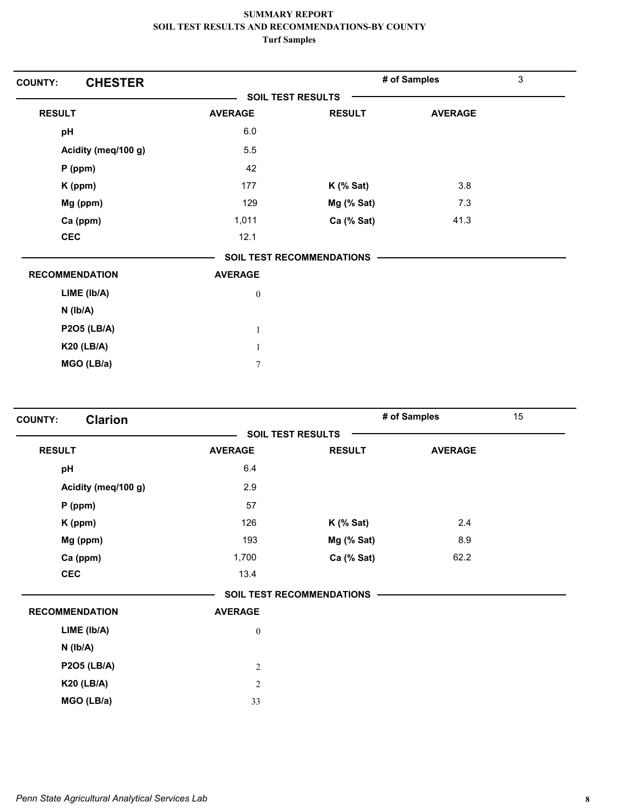| <b>CHESTER</b><br><b>COUNTY:</b> |                          |                                  | # of Samples   | $\mathfrak{S}$ |
|----------------------------------|--------------------------|----------------------------------|----------------|----------------|
|                                  | <b>SOIL TEST RESULTS</b> |                                  |                |                |
| <b>RESULT</b>                    | <b>AVERAGE</b>           | <b>RESULT</b>                    | <b>AVERAGE</b> |                |
| pH                               | 6.0                      |                                  |                |                |
| Acidity (meq/100 g)              | 5.5                      |                                  |                |                |
| $P$ (ppm)                        | 42                       |                                  |                |                |
| K (ppm)                          | 177                      | $K$ (% Sat)                      | 3.8            |                |
| Mg (ppm)                         | 129                      | Mg (% Sat)                       | 7.3            |                |
| Ca (ppm)                         | 1,011                    | Ca (% Sat)                       | 41.3           |                |
| <b>CEC</b>                       | 12.1                     |                                  |                |                |
|                                  |                          | <b>SOIL TEST RECOMMENDATIONS</b> |                |                |
| <b>RECOMMENDATION</b>            | <b>AVERAGE</b>           |                                  |                |                |
| LIME (Ib/A)                      | $\boldsymbol{0}$         |                                  |                |                |
| $N$ ( $lb/A$ )                   |                          |                                  |                |                |
| <b>P2O5 (LB/A)</b>               | $\mathbf{1}$             |                                  |                |                |
| <b>K20 (LB/A)</b>                | $\mathbf{1}$             |                                  |                |                |
| MGO (LB/a)                       | $\overline{7}$           |                                  |                |                |
|                                  |                          |                                  |                |                |

| <b>Clarion</b><br><b>COUNTY:</b> |                  |                           | # of Samples   | 15 |
|----------------------------------|------------------|---------------------------|----------------|----|
|                                  |                  | <b>SOIL TEST RESULTS</b>  |                |    |
| <b>RESULT</b>                    | <b>AVERAGE</b>   | <b>RESULT</b>             | <b>AVERAGE</b> |    |
| pH                               | 6.4              |                           |                |    |
| Acidity (meq/100 g)              | 2.9              |                           |                |    |
| $P$ (ppm)                        | 57               |                           |                |    |
| K (ppm)                          | 126              | $K$ (% Sat)               | 2.4            |    |
| Mg (ppm)                         | 193              | Mg (% Sat)                | 8.9            |    |
| Ca (ppm)                         | 1,700            | Ca (% Sat)                | 62.2           |    |
| <b>CEC</b>                       | 13.4             |                           |                |    |
|                                  |                  | SOIL TEST RECOMMENDATIONS |                |    |
| <b>RECOMMENDATION</b>            | <b>AVERAGE</b>   |                           |                |    |
| LIME (Ib/A)                      | $\boldsymbol{0}$ |                           |                |    |
| $N$ ( $lb/A$ )                   |                  |                           |                |    |
| <b>P2O5 (LB/A)</b>               | $\sqrt{2}$       |                           |                |    |
| <b>K20 (LB/A)</b>                | $\mathbf{2}$     |                           |                |    |
| MGO (LB/a)                       | 33               |                           |                |    |
|                                  |                  |                           |                |    |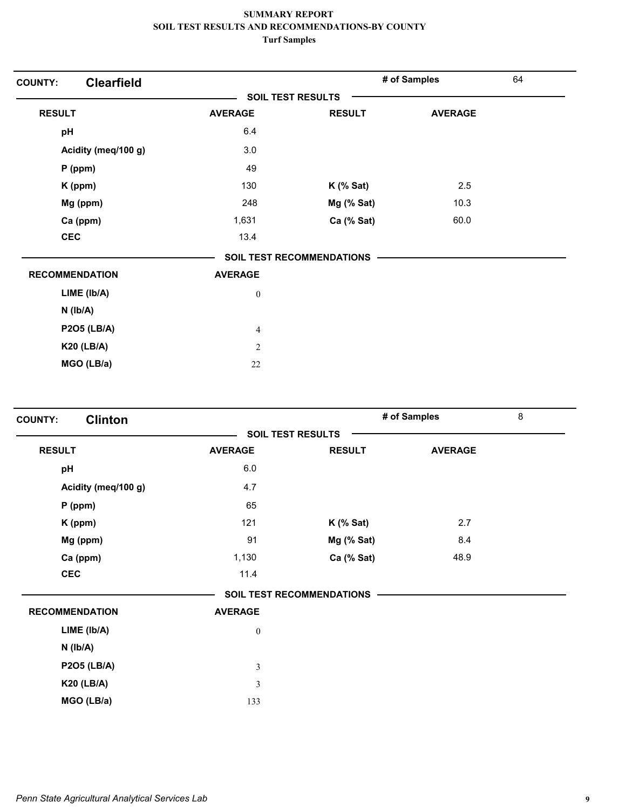| <b>COUNTY:</b>        | <b>Clearfield</b> |                          |                                  | # of Samples   | 64 |
|-----------------------|-------------------|--------------------------|----------------------------------|----------------|----|
|                       |                   | <b>SOIL TEST RESULTS</b> |                                  |                |    |
| <b>RESULT</b>         |                   | <b>AVERAGE</b>           | <b>RESULT</b>                    | <b>AVERAGE</b> |    |
| pH                    |                   | 6.4                      |                                  |                |    |
| Acidity (meq/100 g)   |                   | 3.0                      |                                  |                |    |
| $P$ (ppm)             |                   | 49                       |                                  |                |    |
| K (ppm)               |                   | 130                      | $K$ (% Sat)                      | 2.5            |    |
| Mg (ppm)              |                   | 248                      | Mg (% Sat)                       | 10.3           |    |
| Ca (ppm)              |                   | 1,631                    | Ca (% Sat)                       | 60.0           |    |
| <b>CEC</b>            |                   | 13.4                     |                                  |                |    |
|                       |                   |                          | <b>SOIL TEST RECOMMENDATIONS</b> |                |    |
| <b>RECOMMENDATION</b> |                   | <b>AVERAGE</b>           |                                  |                |    |
| LIME (lb/A)           |                   | $\boldsymbol{0}$         |                                  |                |    |
| $N$ ( $Ib/A$ )        |                   |                          |                                  |                |    |
| <b>P2O5 (LB/A)</b>    |                   | $\overline{4}$           |                                  |                |    |
| <b>K20 (LB/A)</b>     |                   | $\overline{2}$           |                                  |                |    |
| MGO (LB/a)            |                   | 22                       |                                  |                |    |

| <b>Clinton</b><br><b>COUNTY:</b> |                          |                                  | # of Samples   | 8 |
|----------------------------------|--------------------------|----------------------------------|----------------|---|
|                                  | <b>SOIL TEST RESULTS</b> |                                  |                |   |
| <b>RESULT</b>                    | <b>AVERAGE</b>           | <b>RESULT</b>                    | <b>AVERAGE</b> |   |
| pH                               | $6.0\,$                  |                                  |                |   |
| Acidity (meq/100 g)              | 4.7                      |                                  |                |   |
| $P$ (ppm)                        | 65                       |                                  |                |   |
| K (ppm)                          | 121                      | <b>K</b> (% Sat)                 | 2.7            |   |
| Mg (ppm)                         | 91                       | Mg (% Sat)                       | 8.4            |   |
| Ca (ppm)                         | 1,130                    | Ca (% Sat)                       | 48.9           |   |
| <b>CEC</b>                       | 11.4                     |                                  |                |   |
|                                  |                          | <b>SOIL TEST RECOMMENDATIONS</b> |                |   |
| <b>RECOMMENDATION</b>            | <b>AVERAGE</b>           |                                  |                |   |
| LIME (Ib/A)                      | $\boldsymbol{0}$         |                                  |                |   |
| $N$ ( $lb/A$ )                   |                          |                                  |                |   |
| <b>P2O5 (LB/A)</b>               | $\sqrt{3}$               |                                  |                |   |
| <b>K20 (LB/A)</b>                | $\mathfrak{Z}$           |                                  |                |   |
| MGO (LB/a)                       | 133                      |                                  |                |   |
|                                  |                          |                                  |                |   |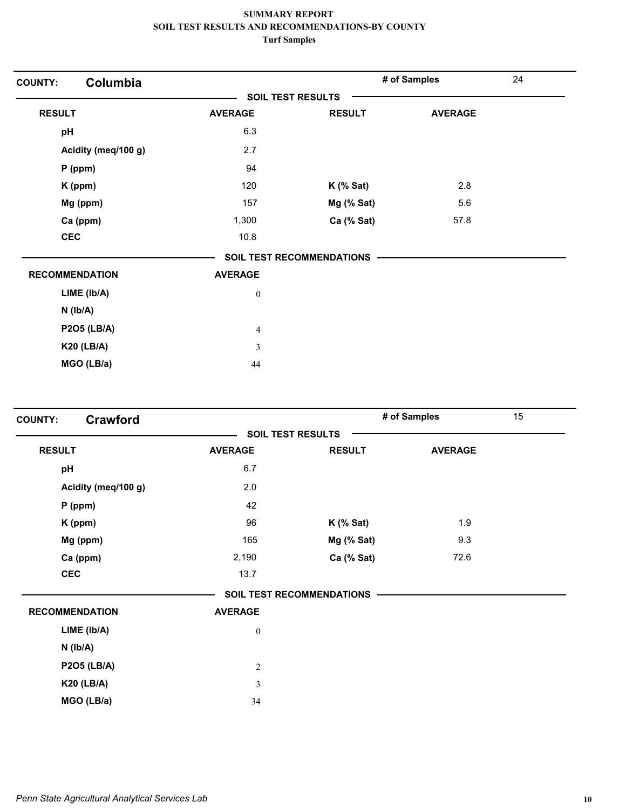| <b>COUNTY:</b>        | Columbia            |                          |                           | # of Samples   | 24 |
|-----------------------|---------------------|--------------------------|---------------------------|----------------|----|
|                       |                     | <b>SOIL TEST RESULTS</b> |                           |                |    |
| <b>RESULT</b>         |                     | <b>AVERAGE</b>           | <b>RESULT</b>             | <b>AVERAGE</b> |    |
| pH                    |                     | 6.3                      |                           |                |    |
|                       | Acidity (meq/100 g) | 2.7                      |                           |                |    |
| $P$ (ppm)             |                     | 94                       |                           |                |    |
| K (ppm)               |                     | 120                      | $K$ (% Sat)               | 2.8            |    |
| Mg (ppm)              |                     | 157                      | Mg (% Sat)                | 5.6            |    |
| Ca (ppm)              |                     | 1,300                    | Ca (% Sat)                | 57.8           |    |
| <b>CEC</b>            |                     | 10.8                     |                           |                |    |
|                       |                     |                          | SOIL TEST RECOMMENDATIONS |                |    |
| <b>RECOMMENDATION</b> |                     | <b>AVERAGE</b>           |                           |                |    |
| LIME (lb/A)           |                     | $\boldsymbol{0}$         |                           |                |    |
| $N$ ( $lb/A$ )        |                     |                          |                           |                |    |
| <b>P2O5 (LB/A)</b>    |                     | $\overline{4}$           |                           |                |    |
| <b>K20 (LB/A)</b>     |                     | $\mathfrak{Z}$           |                           |                |    |
| MGO (LB/a)            |                     | 44                       |                           |                |    |

| <b>COUNTY:</b> | <b>Crawford</b>       |                  |                                  | # of Samples   | 15 |
|----------------|-----------------------|------------------|----------------------------------|----------------|----|
|                |                       |                  | <b>SOIL TEST RESULTS</b>         |                |    |
| <b>RESULT</b>  |                       | <b>AVERAGE</b>   | <b>RESULT</b>                    | <b>AVERAGE</b> |    |
| pH             |                       | 6.7              |                                  |                |    |
|                | Acidity (meq/100 g)   | 2.0              |                                  |                |    |
|                | $P$ (ppm)             | 42               |                                  |                |    |
|                | K (ppm)               | 96               | $K$ (% Sat)                      | 1.9            |    |
|                | Mg (ppm)              | 165              | Mg (% Sat)                       | 9.3            |    |
|                | Ca (ppm)              | 2,190            | Ca (% Sat)                       | 72.6           |    |
|                | <b>CEC</b>            | 13.7             |                                  |                |    |
|                |                       |                  | <b>SOIL TEST RECOMMENDATIONS</b> |                |    |
|                | <b>RECOMMENDATION</b> | <b>AVERAGE</b>   |                                  |                |    |
|                | LIME (Ib/A)           | $\boldsymbol{0}$ |                                  |                |    |
|                | $N$ ( $lb/A$ )        |                  |                                  |                |    |
|                | <b>P2O5 (LB/A)</b>    | $\sqrt{2}$       |                                  |                |    |
|                | <b>K20 (LB/A)</b>     | $\mathfrak{Z}$   |                                  |                |    |
|                | MGO (LB/a)            | 34               |                                  |                |    |
|                |                       |                  |                                  |                |    |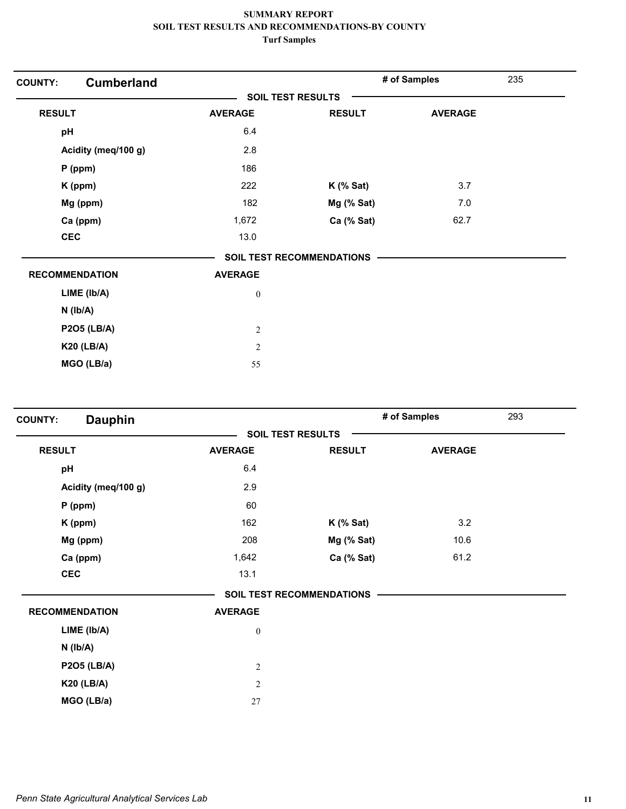| <b>Cumberland</b><br><b>COUNTY:</b> |                          |                                  | # of Samples   | 235 |
|-------------------------------------|--------------------------|----------------------------------|----------------|-----|
|                                     | <b>SOIL TEST RESULTS</b> |                                  |                |     |
| <b>RESULT</b>                       | <b>AVERAGE</b>           | <b>RESULT</b>                    | <b>AVERAGE</b> |     |
| pH                                  | 6.4                      |                                  |                |     |
| Acidity (meq/100 g)                 | 2.8                      |                                  |                |     |
| $P$ (ppm)                           | 186                      |                                  |                |     |
| K (ppm)                             | 222                      | $K$ (% Sat)                      | 3.7            |     |
| Mg (ppm)                            | 182                      | Mg (% Sat)                       | 7.0            |     |
| Ca (ppm)                            | 1,672                    | Ca (% Sat)                       | 62.7           |     |
| <b>CEC</b>                          | 13.0                     |                                  |                |     |
|                                     |                          | <b>SOIL TEST RECOMMENDATIONS</b> |                |     |
| <b>RECOMMENDATION</b>               | <b>AVERAGE</b>           |                                  |                |     |
| LIME (Ib/A)                         | $\boldsymbol{0}$         |                                  |                |     |
| $N$ ( $lb/A$ )                      |                          |                                  |                |     |
| <b>P2O5 (LB/A)</b>                  | $\sqrt{2}$               |                                  |                |     |
| <b>K20 (LB/A)</b>                   | $\overline{2}$           |                                  |                |     |
| MGO (LB/a)                          | 55                       |                                  |                |     |

| <b>Dauphin</b><br><b>COUNTY:</b> |                  |                                  | # of Samples   | 293 |
|----------------------------------|------------------|----------------------------------|----------------|-----|
|                                  |                  | <b>SOIL TEST RESULTS</b>         |                |     |
| <b>RESULT</b>                    | <b>AVERAGE</b>   | <b>RESULT</b>                    | <b>AVERAGE</b> |     |
| pH                               | 6.4              |                                  |                |     |
| Acidity (meq/100 g)              | 2.9              |                                  |                |     |
| $P$ (ppm)                        | 60               |                                  |                |     |
| K (ppm)                          | 162              | $K$ (% Sat)                      | 3.2            |     |
| Mg (ppm)                         | 208              | Mg (% Sat)                       | 10.6           |     |
| Ca (ppm)                         | 1,642            | Ca (% Sat)                       | 61.2           |     |
| <b>CEC</b>                       | 13.1             |                                  |                |     |
|                                  |                  | <b>SOIL TEST RECOMMENDATIONS</b> |                |     |
| <b>RECOMMENDATION</b>            | <b>AVERAGE</b>   |                                  |                |     |
| LIME (Ib/A)                      | $\boldsymbol{0}$ |                                  |                |     |
| $N$ ( $Ib/A$ )                   |                  |                                  |                |     |
| <b>P2O5 (LB/A)</b>               | $\sqrt{2}$       |                                  |                |     |
| <b>K20 (LB/A)</b>                | $\overline{c}$   |                                  |                |     |
| MGO (LB/a)                       | 27               |                                  |                |     |
|                                  |                  |                                  |                |     |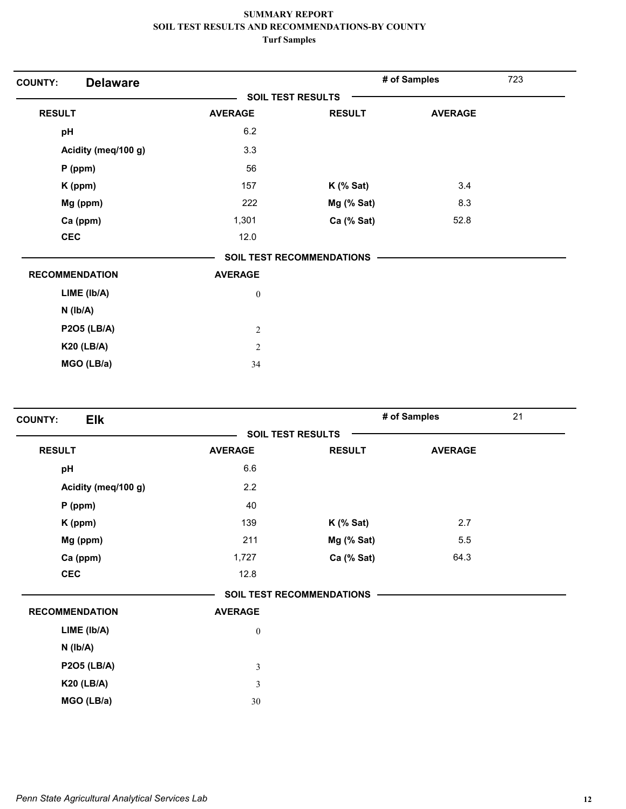| <b>Delaware</b><br><b>COUNTY:</b> |                  |                                  | # of Samples   | 723 |
|-----------------------------------|------------------|----------------------------------|----------------|-----|
|                                   |                  | <b>SOIL TEST RESULTS</b>         |                |     |
| <b>RESULT</b>                     | <b>AVERAGE</b>   | <b>RESULT</b>                    | <b>AVERAGE</b> |     |
| pH                                | 6.2              |                                  |                |     |
| Acidity (meq/100 g)               | 3.3              |                                  |                |     |
| $P$ (ppm)                         | 56               |                                  |                |     |
| K (ppm)                           | 157              | $K$ (% Sat)                      | 3.4            |     |
| Mg (ppm)                          | 222              | Mg (% Sat)                       | 8.3            |     |
| Ca (ppm)                          | 1,301            | Ca (% Sat)                       | 52.8           |     |
| <b>CEC</b>                        | 12.0             |                                  |                |     |
|                                   |                  | <b>SOIL TEST RECOMMENDATIONS</b> |                |     |
| <b>RECOMMENDATION</b>             | <b>AVERAGE</b>   |                                  |                |     |
| LIME (lb/A)                       | $\boldsymbol{0}$ |                                  |                |     |
| $N$ ( $lb/A$ )                    |                  |                                  |                |     |
| <b>P2O5 (LB/A)</b>                | $\sqrt{2}$       |                                  |                |     |
| <b>K20 (LB/A)</b>                 | $\sqrt{2}$       |                                  |                |     |
| MGO (LB/a)                        | 34               |                                  |                |     |

| <b>Elk</b><br><b>COUNTY:</b> |                  |                                  | # of Samples   | 21 |
|------------------------------|------------------|----------------------------------|----------------|----|
|                              |                  | <b>SOIL TEST RESULTS</b>         |                |    |
| <b>RESULT</b>                | <b>AVERAGE</b>   | <b>RESULT</b>                    | <b>AVERAGE</b> |    |
| pH                           | 6.6              |                                  |                |    |
| Acidity (meq/100 g)          | 2.2              |                                  |                |    |
| $P$ (ppm)                    | 40               |                                  |                |    |
| K (ppm)                      | 139              | $K$ (% Sat)                      | 2.7            |    |
| Mg (ppm)                     | 211              | Mg (% Sat)                       | 5.5            |    |
| Ca (ppm)                     | 1,727            | Ca (% Sat)                       | 64.3           |    |
| <b>CEC</b>                   | 12.8             |                                  |                |    |
|                              |                  | <b>SOIL TEST RECOMMENDATIONS</b> |                |    |
| <b>RECOMMENDATION</b>        | <b>AVERAGE</b>   |                                  |                |    |
| LIME (Ib/A)                  | $\boldsymbol{0}$ |                                  |                |    |
| $N$ ( $Ib/A$ )               |                  |                                  |                |    |
| <b>P2O5 (LB/A)</b>           | $\mathfrak{Z}$   |                                  |                |    |
| <b>K20 (LB/A)</b>            | 3                |                                  |                |    |
| MGO (LB/a)                   | 30               |                                  |                |    |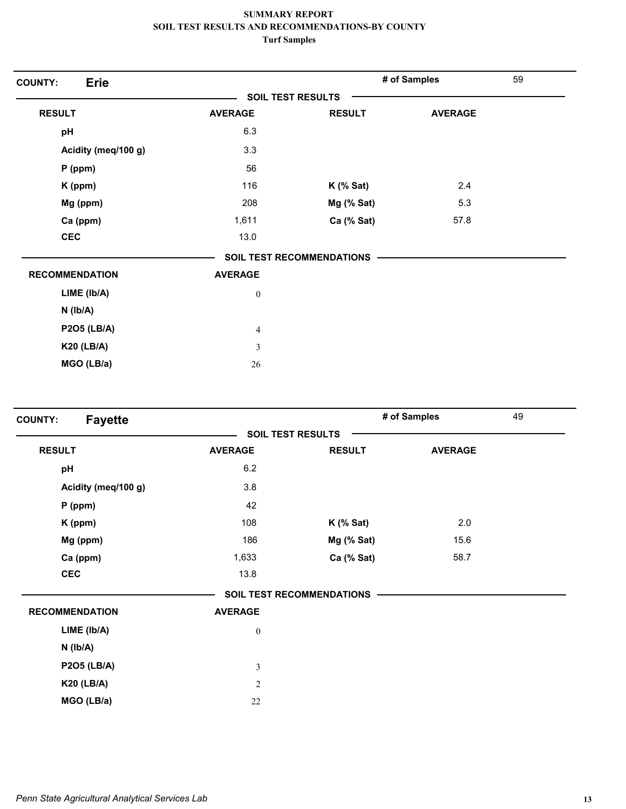| <b>Erie</b><br><b>COUNTY:</b> |                  |                           | # of Samples   | 59 |
|-------------------------------|------------------|---------------------------|----------------|----|
|                               |                  | <b>SOIL TEST RESULTS</b>  |                |    |
| <b>RESULT</b>                 | <b>AVERAGE</b>   | <b>RESULT</b>             | <b>AVERAGE</b> |    |
| pH                            | 6.3              |                           |                |    |
| Acidity (meq/100 g)           | 3.3              |                           |                |    |
| $P$ (ppm)                     | 56               |                           |                |    |
| K (ppm)                       | 116              | $K$ (% Sat)               | 2.4            |    |
| Mg (ppm)                      | 208              | Mg (% Sat)                | 5.3            |    |
| Ca (ppm)                      | 1,611            | Ca (% Sat)                | 57.8           |    |
| <b>CEC</b>                    | 13.0             |                           |                |    |
|                               |                  | SOIL TEST RECOMMENDATIONS |                |    |
| <b>RECOMMENDATION</b>         | <b>AVERAGE</b>   |                           |                |    |
| LIME (Ib/A)                   | $\boldsymbol{0}$ |                           |                |    |
| $N$ ( $Ib/A$ )                |                  |                           |                |    |
| <b>P2O5 (LB/A)</b>            | $\overline{4}$   |                           |                |    |
| <b>K20 (LB/A)</b>             | $\mathfrak{Z}$   |                           |                |    |
| MGO (LB/a)                    | 26               |                           |                |    |

| <b>Fayette</b><br><b>COUNTY:</b> |                  |                                  | # of Samples   | 49 |
|----------------------------------|------------------|----------------------------------|----------------|----|
|                                  |                  | <b>SOIL TEST RESULTS</b>         |                |    |
| <b>RESULT</b>                    | <b>AVERAGE</b>   | <b>RESULT</b>                    | <b>AVERAGE</b> |    |
| pH                               | 6.2              |                                  |                |    |
| Acidity (meq/100 g)              | 3.8              |                                  |                |    |
| $P$ (ppm)                        | 42               |                                  |                |    |
| K (ppm)                          | 108              | $K$ (% Sat)                      | 2.0            |    |
| Mg (ppm)                         | 186              | Mg (% Sat)                       | 15.6           |    |
| Ca (ppm)                         | 1,633            | Ca (% Sat)                       | 58.7           |    |
| <b>CEC</b>                       | 13.8             |                                  |                |    |
|                                  |                  | <b>SOIL TEST RECOMMENDATIONS</b> |                |    |
| <b>RECOMMENDATION</b>            | <b>AVERAGE</b>   |                                  |                |    |
| LIME (Ib/A)                      | $\boldsymbol{0}$ |                                  |                |    |
| $N$ ( $Ib/A$ )                   |                  |                                  |                |    |
| <b>P2O5 (LB/A)</b>               | $\mathfrak{Z}$   |                                  |                |    |
| <b>K20 (LB/A)</b>                | $\overline{2}$   |                                  |                |    |
| MGO (LB/a)                       | 22               |                                  |                |    |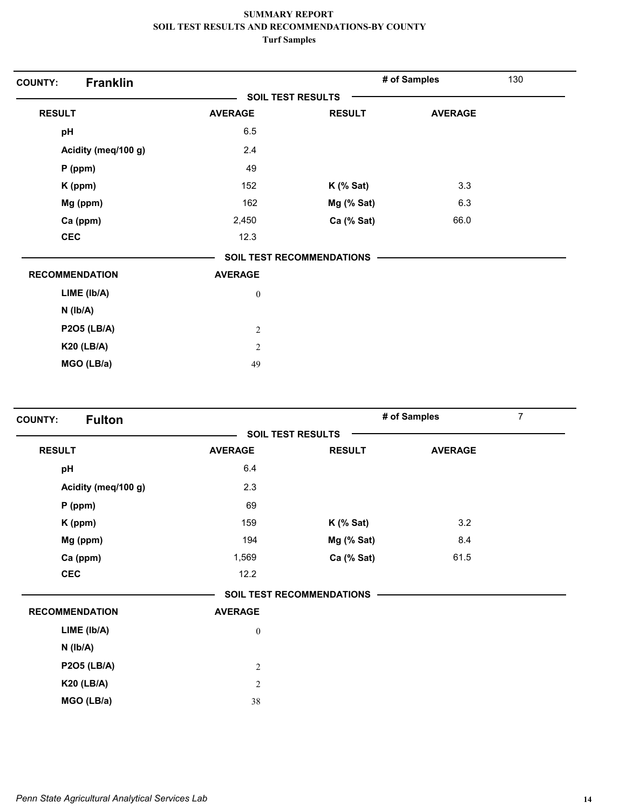| <b>Franklin</b><br><b>COUNTY:</b> |                  |                                  | # of Samples   | 130 |
|-----------------------------------|------------------|----------------------------------|----------------|-----|
|                                   |                  | <b>SOIL TEST RESULTS</b>         |                |     |
| <b>RESULT</b>                     | <b>AVERAGE</b>   | <b>RESULT</b>                    | <b>AVERAGE</b> |     |
| pH                                | 6.5              |                                  |                |     |
| Acidity (meq/100 g)               | 2.4              |                                  |                |     |
| $P$ (ppm)                         | 49               |                                  |                |     |
| K (ppm)                           | 152              | $K$ (% Sat)                      | 3.3            |     |
| Mg (ppm)                          | 162              | Mg (% Sat)                       | 6.3            |     |
| Ca (ppm)                          | 2,450            | Ca (% Sat)                       | 66.0           |     |
| <b>CEC</b>                        | 12.3             |                                  |                |     |
|                                   |                  | <b>SOIL TEST RECOMMENDATIONS</b> |                |     |
| <b>RECOMMENDATION</b>             | <b>AVERAGE</b>   |                                  |                |     |
| LIME (Ib/A)                       | $\boldsymbol{0}$ |                                  |                |     |
| $N$ ( $lb/A$ )                    |                  |                                  |                |     |
| <b>P2O5 (LB/A)</b>                | $\mathbf{2}$     |                                  |                |     |
| <b>K20 (LB/A)</b>                 | $\overline{c}$   |                                  |                |     |
| MGO (LB/a)                        | 49               |                                  |                |     |

| <b>Fulton</b><br><b>COUNTY:</b> |                  |                           | # of Samples   | $\overline{7}$ |
|---------------------------------|------------------|---------------------------|----------------|----------------|
|                                 |                  | <b>SOIL TEST RESULTS</b>  |                |                |
| <b>RESULT</b>                   | <b>AVERAGE</b>   | <b>RESULT</b>             | <b>AVERAGE</b> |                |
| pH                              | 6.4              |                           |                |                |
| Acidity (meq/100 g)             | 2.3              |                           |                |                |
| $P$ (ppm)                       | 69               |                           |                |                |
| K (ppm)                         | 159              | $K$ (% Sat)               | 3.2            |                |
| Mg (ppm)                        | 194              | Mg (% Sat)                | 8.4            |                |
| Ca (ppm)                        | 1,569            | Ca (% Sat)                | 61.5           |                |
| <b>CEC</b>                      | 12.2             |                           |                |                |
|                                 |                  | SOIL TEST RECOMMENDATIONS |                |                |
| <b>RECOMMENDATION</b>           | <b>AVERAGE</b>   |                           |                |                |
| LIME (Ib/A)                     | $\boldsymbol{0}$ |                           |                |                |
| $N$ ( $Ib/A$ )                  |                  |                           |                |                |
| <b>P2O5 (LB/A)</b>              | $\sqrt{2}$       |                           |                |                |
| <b>K20 (LB/A)</b>               | $\overline{2}$   |                           |                |                |
| MGO (LB/a)                      | 38               |                           |                |                |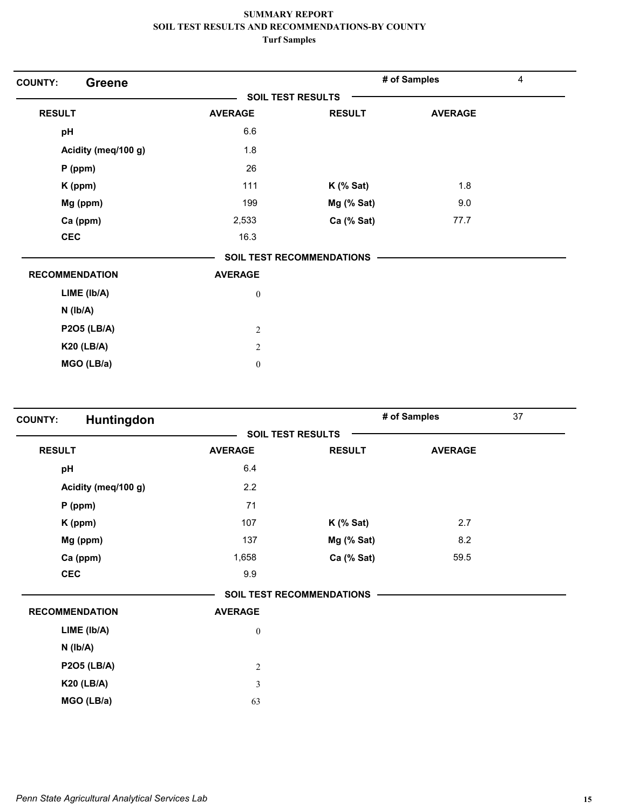| <b>Greene</b><br><b>COUNTY:</b> |                          |                                  | # of Samples   | $\overline{4}$ |
|---------------------------------|--------------------------|----------------------------------|----------------|----------------|
|                                 | <b>SOIL TEST RESULTS</b> |                                  |                |                |
| <b>RESULT</b>                   | <b>AVERAGE</b>           | <b>RESULT</b>                    | <b>AVERAGE</b> |                |
| pH                              | 6.6                      |                                  |                |                |
| Acidity (meq/100 g)             | 1.8                      |                                  |                |                |
| P (ppm)                         | 26                       |                                  |                |                |
| K (ppm)                         | 111                      | $K$ (% Sat)                      | 1.8            |                |
| Mg (ppm)                        | 199                      | Mg (% Sat)                       | 9.0            |                |
| Ca (ppm)                        | 2,533                    | Ca (% Sat)                       | 77.7           |                |
| <b>CEC</b>                      | 16.3                     |                                  |                |                |
|                                 |                          | <b>SOIL TEST RECOMMENDATIONS</b> |                |                |
| <b>RECOMMENDATION</b>           | <b>AVERAGE</b>           |                                  |                |                |
| LIME (Ib/A)                     | $\boldsymbol{0}$         |                                  |                |                |
| $N$ ( $lb/A$ )                  |                          |                                  |                |                |
| <b>P2O5 (LB/A)</b>              | $\sqrt{2}$               |                                  |                |                |
| <b>K20 (LB/A)</b>               | $\overline{2}$           |                                  |                |                |
| MGO (LB/a)                      | $\boldsymbol{0}$         |                                  |                |                |

| Huntingdon<br><b>COUNTY:</b> |                  |                           | # of Samples   | 37 |
|------------------------------|------------------|---------------------------|----------------|----|
|                              |                  | <b>SOIL TEST RESULTS</b>  | <b>AVERAGE</b> |    |
| <b>RESULT</b>                | <b>AVERAGE</b>   | <b>RESULT</b>             |                |    |
| pH                           | 6.4              |                           |                |    |
| Acidity (meq/100 g)          | 2.2              |                           |                |    |
| $P$ (ppm)                    | 71               |                           |                |    |
| K (ppm)                      | 107              | $K$ (% Sat)               | 2.7            |    |
| Mg (ppm)                     | 137              | Mg (% Sat)                | 8.2            |    |
| Ca (ppm)                     | 1,658            | Ca (% Sat)                | 59.5           |    |
| <b>CEC</b>                   | 9.9              |                           |                |    |
|                              |                  | SOIL TEST RECOMMENDATIONS |                |    |
| <b>RECOMMENDATION</b>        | <b>AVERAGE</b>   |                           |                |    |
| LIME (Ib/A)                  | $\boldsymbol{0}$ |                           |                |    |
| $N$ ( $Ib/A$ )               |                  |                           |                |    |
| <b>P2O5 (LB/A)</b>           | $\sqrt{2}$       |                           |                |    |
| <b>K20 (LB/A)</b>            | $\mathfrak z$    |                           |                |    |
| MGO (LB/a)                   | 63               |                           |                |    |
|                              |                  |                           |                |    |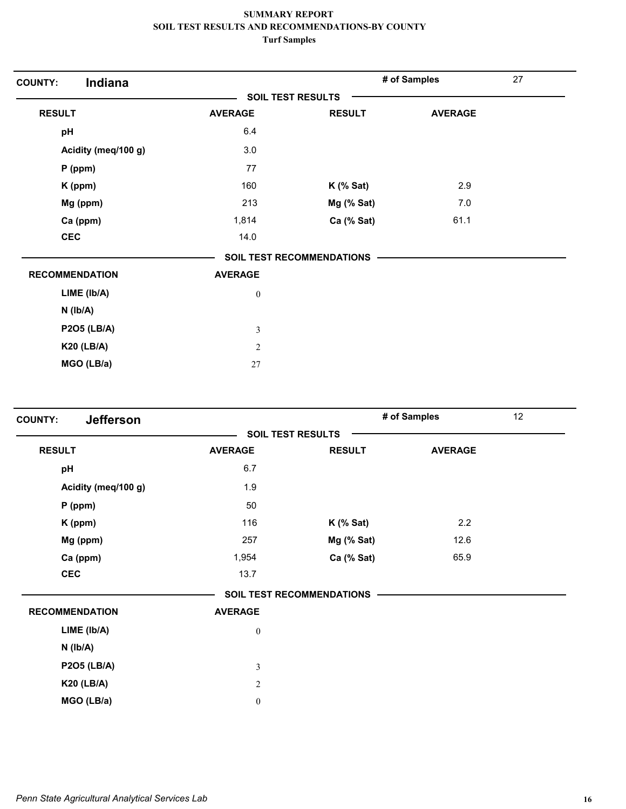| Indiana<br><b>COUNTY:</b> |                          |                                  | # of Samples   | 27 |
|---------------------------|--------------------------|----------------------------------|----------------|----|
|                           | <b>SOIL TEST RESULTS</b> |                                  |                |    |
| <b>RESULT</b>             | <b>AVERAGE</b>           | <b>RESULT</b>                    | <b>AVERAGE</b> |    |
| pH                        | 6.4                      |                                  |                |    |
| Acidity (meq/100 g)       | 3.0                      |                                  |                |    |
| $P$ (ppm)                 | 77                       |                                  |                |    |
| K (ppm)                   | 160                      | $K$ (% Sat)                      | 2.9            |    |
| Mg (ppm)                  | 213                      | Mg (% Sat)                       | 7.0            |    |
| Ca (ppm)                  | 1,814                    | Ca (% Sat)                       | 61.1           |    |
| <b>CEC</b>                | 14.0                     |                                  |                |    |
|                           |                          | <b>SOIL TEST RECOMMENDATIONS</b> |                |    |
| <b>RECOMMENDATION</b>     | <b>AVERAGE</b>           |                                  |                |    |
| LIME (Ib/A)               | $\boldsymbol{0}$         |                                  |                |    |
| $N$ ( $lb/A$ )            |                          |                                  |                |    |
| <b>P2O5 (LB/A)</b>        | $\mathfrak{Z}$           |                                  |                |    |
| <b>K20 (LB/A)</b>         | 2                        |                                  |                |    |
| MGO (LB/a)                | 27                       |                                  |                |    |

| <b>Jefferson</b><br><b>COUNTY:</b> |                  |                                  | # of Samples   | 12 |
|------------------------------------|------------------|----------------------------------|----------------|----|
|                                    |                  | <b>SOIL TEST RESULTS</b>         |                |    |
| <b>RESULT</b>                      | <b>AVERAGE</b>   | <b>RESULT</b>                    | <b>AVERAGE</b> |    |
| pH                                 | 6.7              |                                  |                |    |
| Acidity (meq/100 g)                | 1.9              |                                  |                |    |
| $P$ (ppm)                          | 50               |                                  |                |    |
| K (ppm)                            | 116              | $K$ (% Sat)                      | 2.2            |    |
| Mg (ppm)                           | 257              | Mg (% Sat)                       | 12.6           |    |
| Ca (ppm)                           | 1,954            | Ca (% Sat)                       | 65.9           |    |
| <b>CEC</b>                         | 13.7             |                                  |                |    |
|                                    |                  | <b>SOIL TEST RECOMMENDATIONS</b> |                |    |
| <b>RECOMMENDATION</b>              | <b>AVERAGE</b>   |                                  |                |    |
| LIME (Ib/A)                        | $\boldsymbol{0}$ |                                  |                |    |
| $N$ ( $Ib/A$ )                     |                  |                                  |                |    |
| <b>P2O5 (LB/A)</b>                 | $\mathfrak{Z}$   |                                  |                |    |
| <b>K20 (LB/A)</b>                  | $\mathbf{2}$     |                                  |                |    |
| MGO (LB/a)                         | $\boldsymbol{0}$ |                                  |                |    |
|                                    |                  |                                  |                |    |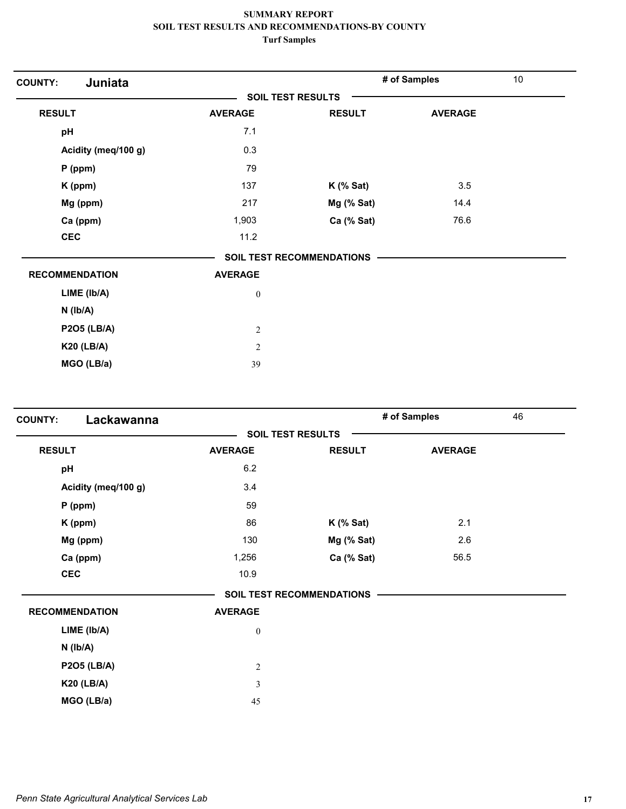| Juniata<br><b>COUNTY:</b> |                  |                           | # of Samples   | 10 |
|---------------------------|------------------|---------------------------|----------------|----|
|                           |                  | <b>SOIL TEST RESULTS</b>  |                |    |
| <b>RESULT</b>             | <b>AVERAGE</b>   | <b>RESULT</b>             | <b>AVERAGE</b> |    |
| pH                        | 7.1              |                           |                |    |
| Acidity (meq/100 g)       | 0.3              |                           |                |    |
| $P$ (ppm)                 | 79               |                           |                |    |
| K (ppm)                   | 137              | $K$ (% Sat)               | 3.5            |    |
| Mg (ppm)                  | 217              | Mg (% Sat)                | 14.4           |    |
| Ca (ppm)                  | 1,903            | Ca (% Sat)                | 76.6           |    |
| <b>CEC</b>                | 11.2             |                           |                |    |
|                           |                  | SOIL TEST RECOMMENDATIONS |                |    |
| <b>RECOMMENDATION</b>     | <b>AVERAGE</b>   |                           |                |    |
| LIME (Ib/A)               | $\boldsymbol{0}$ |                           |                |    |
| $N$ ( $lb/A$ )            |                  |                           |                |    |
| <b>P2O5 (LB/A)</b>        | $\sqrt{2}$       |                           |                |    |
| <b>K20 (LB/A)</b>         | $\overline{2}$   |                           |                |    |
| MGO (LB/a)                | 39               |                           |                |    |

| Lackawanna<br><b>COUNTY:</b> |                  |                                  | # of Samples   | 46 |
|------------------------------|------------------|----------------------------------|----------------|----|
|                              |                  | <b>SOIL TEST RESULTS</b>         |                |    |
| <b>RESULT</b>                | <b>AVERAGE</b>   | <b>RESULT</b>                    | <b>AVERAGE</b> |    |
| pH                           | 6.2              |                                  |                |    |
| Acidity (meq/100 g)          | 3.4              |                                  |                |    |
| $P$ (ppm)                    | 59               |                                  |                |    |
| K (ppm)                      | 86               | $K$ (% Sat)                      | 2.1            |    |
| Mg (ppm)                     | 130              | Mg (% Sat)                       | 2.6            |    |
| Ca (ppm)                     | 1,256            | Ca (% Sat)                       | 56.5           |    |
| <b>CEC</b>                   | 10.9             |                                  |                |    |
|                              |                  | <b>SOIL TEST RECOMMENDATIONS</b> |                |    |
| <b>RECOMMENDATION</b>        | <b>AVERAGE</b>   |                                  |                |    |
| LIME (Ib/A)                  | $\boldsymbol{0}$ |                                  |                |    |
| $N$ ( $Ib/A$ )               |                  |                                  |                |    |
| <b>P2O5 (LB/A)</b>           | $\mathbf{2}$     |                                  |                |    |
| <b>K20 (LB/A)</b>            | $\mathfrak{Z}$   |                                  |                |    |
| MGO (LB/a)                   | 45               |                                  |                |    |
|                              |                  |                                  |                |    |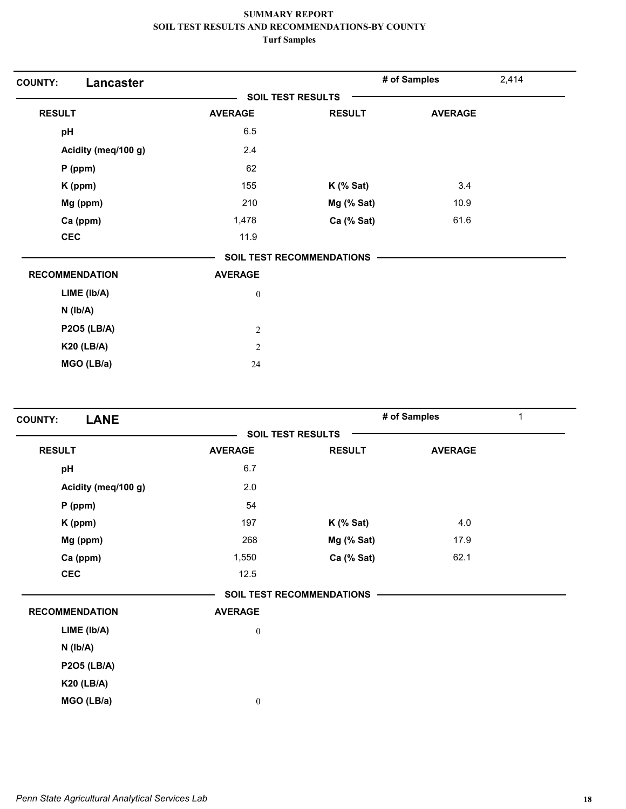| <b>COUNTY:</b><br>Lancaster |                  |                                  | # of Samples   | 2,414 |
|-----------------------------|------------------|----------------------------------|----------------|-------|
|                             |                  | <b>SOIL TEST RESULTS</b>         |                |       |
| <b>RESULT</b>               | <b>AVERAGE</b>   | <b>RESULT</b>                    | <b>AVERAGE</b> |       |
| pH                          | 6.5              |                                  |                |       |
| Acidity (meq/100 g)         | 2.4              |                                  |                |       |
| P (ppm)                     | 62               |                                  |                |       |
| K (ppm)                     | 155              | $K$ (% Sat)                      | 3.4            |       |
| Mg (ppm)                    | 210              | Mg (% Sat)                       | 10.9           |       |
| Ca (ppm)                    | 1,478            | Ca (% Sat)                       | 61.6           |       |
| <b>CEC</b>                  | 11.9             |                                  |                |       |
|                             |                  | <b>SOIL TEST RECOMMENDATIONS</b> |                |       |
| <b>RECOMMENDATION</b>       | <b>AVERAGE</b>   |                                  |                |       |
| LIME (Ib/A)                 | $\boldsymbol{0}$ |                                  |                |       |
| $N$ ( $lb/A$ )              |                  |                                  |                |       |
| <b>P2O5 (LB/A)</b>          | $\sqrt{2}$       |                                  |                |       |
| <b>K20 (LB/A)</b>           | $\overline{2}$   |                                  |                |       |
| MGO (LB/a)                  | 24               |                                  |                |       |
|                             |                  |                                  |                |       |

| <b>LANE</b><br><b>COUNTY:</b> |                  |                                  | # of Samples   | $\mathbf 1$ |
|-------------------------------|------------------|----------------------------------|----------------|-------------|
|                               |                  | <b>SOIL TEST RESULTS</b>         |                |             |
| <b>RESULT</b>                 | <b>AVERAGE</b>   | <b>RESULT</b>                    | <b>AVERAGE</b> |             |
| pH                            | 6.7              |                                  |                |             |
| Acidity (meq/100 g)           | 2.0              |                                  |                |             |
| $P$ (ppm)                     | 54               |                                  |                |             |
| K (ppm)                       | 197              | $K$ (% Sat)                      | 4.0            |             |
| Mg (ppm)                      | 268              | Mg (% Sat)                       | 17.9           |             |
| Ca (ppm)                      | 1,550            | Ca (% Sat)                       | 62.1           |             |
| <b>CEC</b>                    | 12.5             |                                  |                |             |
|                               |                  | <b>SOIL TEST RECOMMENDATIONS</b> |                |             |
| <b>RECOMMENDATION</b>         | <b>AVERAGE</b>   |                                  |                |             |
| LIME (Ib/A)                   | $\boldsymbol{0}$ |                                  |                |             |
| $N$ ( $lb/A$ )                |                  |                                  |                |             |
| <b>P2O5 (LB/A)</b>            |                  |                                  |                |             |
| <b>K20 (LB/A)</b>             |                  |                                  |                |             |
| MGO (LB/a)                    | $\boldsymbol{0}$ |                                  |                |             |
|                               |                  |                                  |                |             |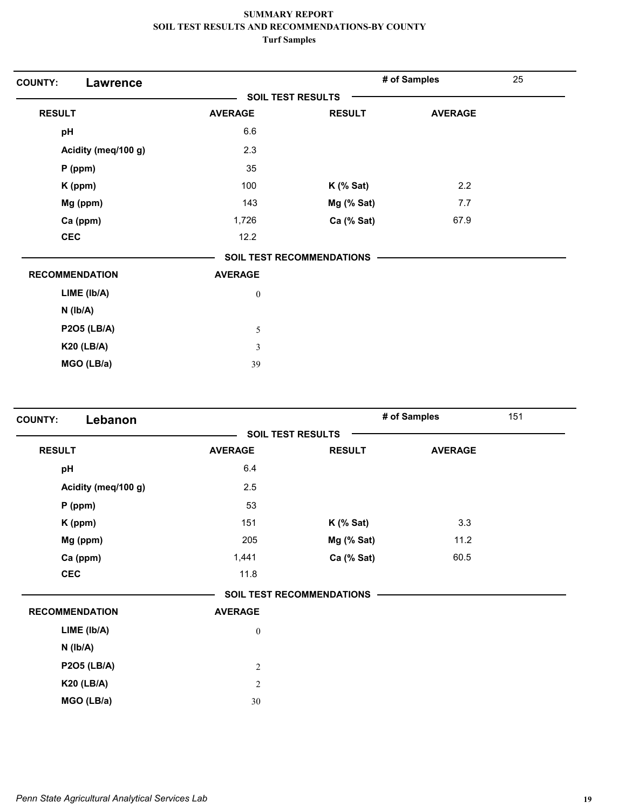| <b>COUNTY:</b><br><b>Lawrence</b> |                  |                                  | # of Samples   | 25 |
|-----------------------------------|------------------|----------------------------------|----------------|----|
|                                   |                  | <b>SOIL TEST RESULTS</b>         |                |    |
| <b>RESULT</b>                     | <b>AVERAGE</b>   | <b>RESULT</b>                    | <b>AVERAGE</b> |    |
| pH                                | 6.6              |                                  |                |    |
| Acidity (meq/100 g)               | 2.3              |                                  |                |    |
| $P$ (ppm)                         | 35               |                                  |                |    |
| K (ppm)                           | 100              | $K$ (% Sat)                      | 2.2            |    |
| Mg (ppm)                          | 143              | Mg (% Sat)                       | 7.7            |    |
| Ca (ppm)                          | 1,726            | Ca (% Sat)                       | 67.9           |    |
| <b>CEC</b>                        | 12.2             |                                  |                |    |
|                                   |                  | <b>SOIL TEST RECOMMENDATIONS</b> |                |    |
| <b>RECOMMENDATION</b>             | <b>AVERAGE</b>   |                                  |                |    |
| LIME (Ib/A)                       | $\boldsymbol{0}$ |                                  |                |    |
| $N$ ( $lb/A$ )                    |                  |                                  |                |    |
| <b>P2O5 (LB/A)</b>                | $\sqrt{5}$       |                                  |                |    |
| <b>K20 (LB/A)</b>                 | $\mathfrak{Z}$   |                                  |                |    |
| MGO (LB/a)                        | 39               |                                  |                |    |

| Lebanon<br><b>COUNTY:</b> |                  |                                  | # of Samples<br>151 |  |
|---------------------------|------------------|----------------------------------|---------------------|--|
|                           |                  | <b>SOIL TEST RESULTS</b>         |                     |  |
| <b>RESULT</b>             | <b>AVERAGE</b>   | <b>RESULT</b>                    | <b>AVERAGE</b>      |  |
| pH                        | 6.4              |                                  |                     |  |
| Acidity (meq/100 g)       | 2.5              |                                  |                     |  |
| $P$ (ppm)                 | 53               |                                  |                     |  |
| K (ppm)                   | 151              | $K$ (% Sat)                      | 3.3                 |  |
| Mg (ppm)                  | 205              | Mg (% Sat)                       | 11.2                |  |
| Ca (ppm)                  | 1,441            | Ca (% Sat)                       | 60.5                |  |
| <b>CEC</b>                | 11.8             |                                  |                     |  |
|                           |                  | <b>SOIL TEST RECOMMENDATIONS</b> |                     |  |
| <b>RECOMMENDATION</b>     | <b>AVERAGE</b>   |                                  |                     |  |
| LIME (Ib/A)               | $\boldsymbol{0}$ |                                  |                     |  |
| $N$ ( $Ib/A$ )            |                  |                                  |                     |  |
| <b>P2O5 (LB/A)</b>        | $\sqrt{2}$       |                                  |                     |  |
| <b>K20 (LB/A)</b>         | $\sqrt{2}$       |                                  |                     |  |
| MGO (LB/a)                | 30               |                                  |                     |  |
|                           |                  |                                  |                     |  |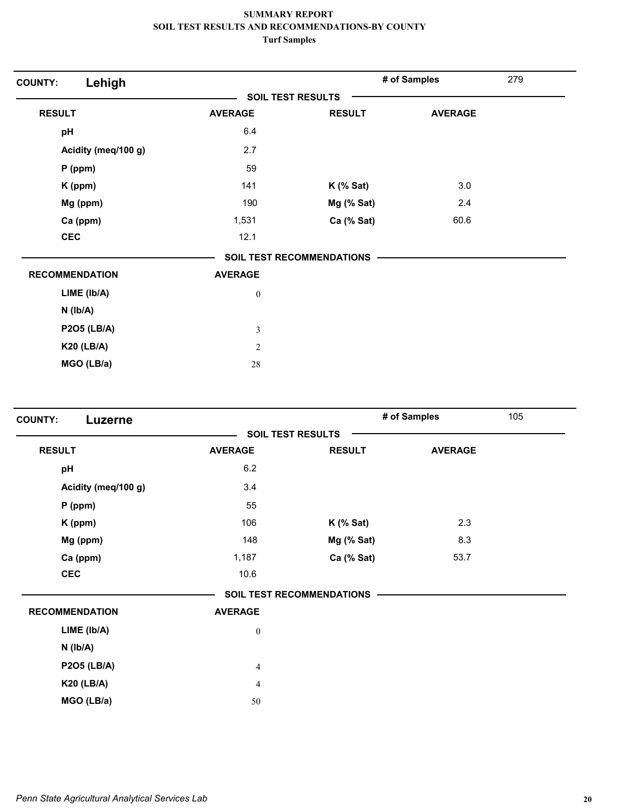| Lehigh<br><b>COUNTY:</b> |                  |                                  | # of Samples   | 279 |
|--------------------------|------------------|----------------------------------|----------------|-----|
|                          |                  | <b>SOIL TEST RESULTS</b>         |                |     |
| <b>RESULT</b>            | <b>AVERAGE</b>   | <b>RESULT</b>                    | <b>AVERAGE</b> |     |
| pH                       | 6.4              |                                  |                |     |
| Acidity (meq/100 g)      | 2.7              |                                  |                |     |
| $P$ (ppm)                | 59               |                                  |                |     |
| K (ppm)                  | 141              | $K$ (% Sat)                      | 3.0            |     |
| Mg (ppm)                 | 190              | Mg (% Sat)                       | 2.4            |     |
| Ca (ppm)                 | 1,531            | Ca (% Sat)                       | 60.6           |     |
| <b>CEC</b>               | 12.1             |                                  |                |     |
|                          |                  | <b>SOIL TEST RECOMMENDATIONS</b> |                |     |
| <b>RECOMMENDATION</b>    | <b>AVERAGE</b>   |                                  |                |     |
| LIME (Ib/A)              | $\boldsymbol{0}$ |                                  |                |     |
| $N$ ( $lb/A$ )           |                  |                                  |                |     |
| <b>P2O5 (LB/A)</b>       | $\mathfrak{Z}$   |                                  |                |     |
| <b>K20 (LB/A)</b>        | $\overline{2}$   |                                  |                |     |
| MGO (LB/a)               | $28\,$           |                                  |                |     |

| <b>COUNTY:</b><br>Luzerne |                  |                                  | # of Samples   | 105 |
|---------------------------|------------------|----------------------------------|----------------|-----|
|                           |                  | <b>SOIL TEST RESULTS</b>         |                |     |
| <b>RESULT</b>             | <b>AVERAGE</b>   | <b>RESULT</b>                    | <b>AVERAGE</b> |     |
| pH                        | 6.2              |                                  |                |     |
| Acidity (meq/100 g)       | 3.4              |                                  |                |     |
| $P$ (ppm)                 | 55               |                                  |                |     |
| K (ppm)                   | 106              | $K$ (% Sat)                      | 2.3            |     |
| Mg (ppm)                  | 148              | Mg (% Sat)                       | 8.3            |     |
| Ca (ppm)                  | 1,187            | Ca (% Sat)                       | 53.7           |     |
| <b>CEC</b>                | 10.6             |                                  |                |     |
|                           |                  | <b>SOIL TEST RECOMMENDATIONS</b> |                |     |
| <b>RECOMMENDATION</b>     | <b>AVERAGE</b>   |                                  |                |     |
| LIME (Ib/A)               | $\boldsymbol{0}$ |                                  |                |     |
| $N$ ( $Ib/A$ )            |                  |                                  |                |     |
| <b>P2O5 (LB/A)</b>        | $\overline{4}$   |                                  |                |     |
| <b>K20 (LB/A)</b>         | $\overline{4}$   |                                  |                |     |
| MGO (LB/a)                | 50               |                                  |                |     |
|                           |                  |                                  |                |     |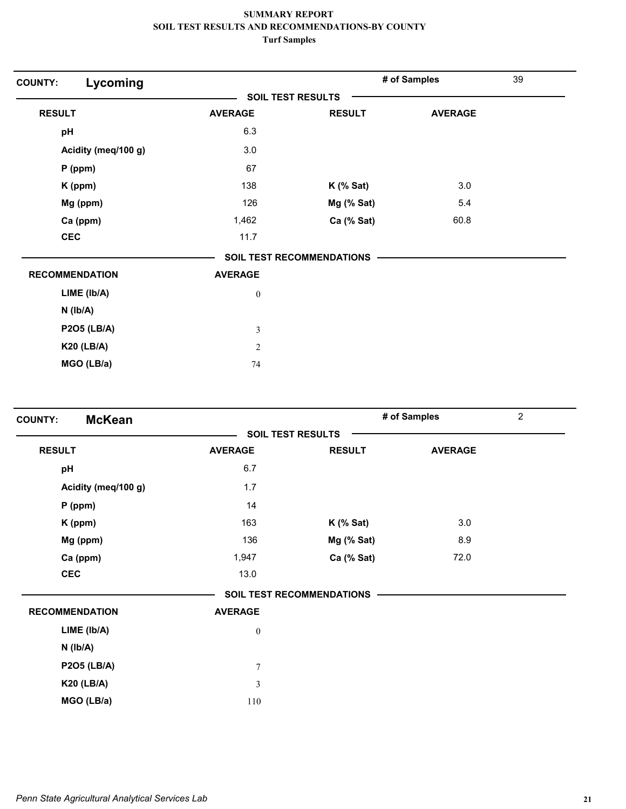| Lycoming<br><b>COUNTY:</b> |                          |                                  | # of Samples   | 39 |
|----------------------------|--------------------------|----------------------------------|----------------|----|
|                            | <b>SOIL TEST RESULTS</b> |                                  |                |    |
| <b>RESULT</b>              | <b>AVERAGE</b>           | <b>RESULT</b>                    | <b>AVERAGE</b> |    |
| pH                         | 6.3                      |                                  |                |    |
| Acidity (meq/100 g)        | 3.0                      |                                  |                |    |
| P (ppm)                    | 67                       |                                  |                |    |
| K (ppm)                    | 138                      | $K$ (% Sat)                      | 3.0            |    |
| Mg (ppm)                   | 126                      | Mg (% Sat)                       | 5.4            |    |
| Ca (ppm)                   | 1,462                    | Ca (% Sat)                       | 60.8           |    |
| <b>CEC</b>                 | 11.7                     |                                  |                |    |
|                            |                          | <b>SOIL TEST RECOMMENDATIONS</b> |                |    |
| <b>RECOMMENDATION</b>      | <b>AVERAGE</b>           |                                  |                |    |
| LIME (Ib/A)                | $\boldsymbol{0}$         |                                  |                |    |
| $N$ ( $lb/A$ )             |                          |                                  |                |    |
| <b>P2O5 (LB/A)</b>         | $\mathfrak{Z}$           |                                  |                |    |
| <b>K20 (LB/A)</b>          | $\mathfrak{2}$           |                                  |                |    |
| MGO (LB/a)                 | 74                       |                                  |                |    |

| <b>McKean</b><br><b>COUNTY:</b> |                  |                                  | # of Samples   | $\overline{c}$ |
|---------------------------------|------------------|----------------------------------|----------------|----------------|
|                                 |                  | <b>SOIL TEST RESULTS</b>         |                |                |
| <b>RESULT</b>                   | <b>AVERAGE</b>   | <b>RESULT</b>                    | <b>AVERAGE</b> |                |
| pH                              | 6.7              |                                  |                |                |
| Acidity (meq/100 g)             | 1.7              |                                  |                |                |
| $P$ (ppm)                       | 14               |                                  |                |                |
| K (ppm)                         | 163              | $K$ (% Sat)                      | 3.0            |                |
| Mg (ppm)                        | 136              | Mg (% Sat)                       | 8.9            |                |
| Ca (ppm)                        | 1,947            | Ca (% Sat)                       | 72.0           |                |
| <b>CEC</b>                      | 13.0             |                                  |                |                |
|                                 |                  | <b>SOIL TEST RECOMMENDATIONS</b> |                |                |
| <b>RECOMMENDATION</b>           | <b>AVERAGE</b>   |                                  |                |                |
| LIME (Ib/A)                     | $\boldsymbol{0}$ |                                  |                |                |
| $N$ ( $Ib/A$ )                  |                  |                                  |                |                |
| <b>P2O5 (LB/A)</b>              | $\boldsymbol{7}$ |                                  |                |                |
| <b>K20 (LB/A)</b>               | $\mathfrak{Z}$   |                                  |                |                |
| MGO (LB/a)                      | 110              |                                  |                |                |
|                                 |                  |                                  |                |                |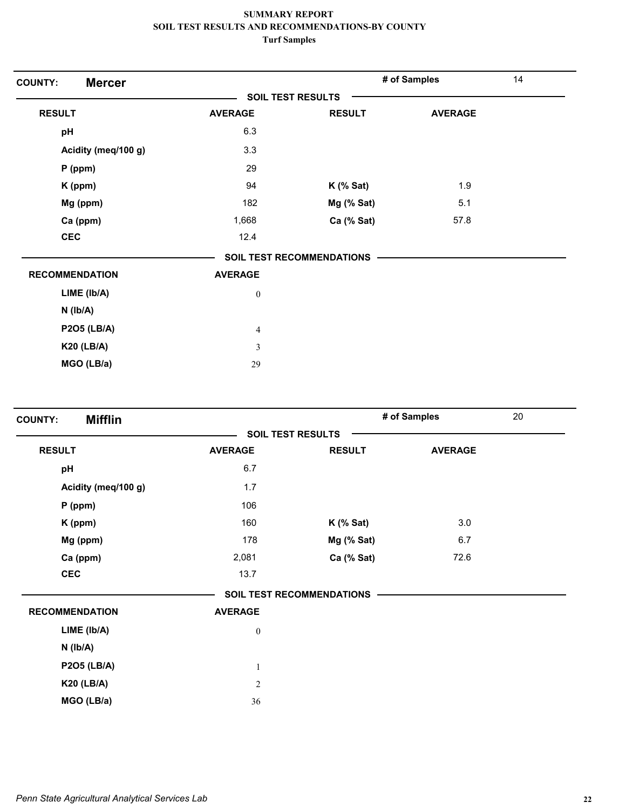| <b>Mercer</b><br><b>COUNTY:</b> |                  |                           | # of Samples   | 14 |
|---------------------------------|------------------|---------------------------|----------------|----|
|                                 |                  | <b>SOIL TEST RESULTS</b>  |                |    |
| <b>RESULT</b>                   | <b>AVERAGE</b>   | <b>RESULT</b>             | <b>AVERAGE</b> |    |
| pH                              | 6.3              |                           |                |    |
| Acidity (meq/100 g)             | 3.3              |                           |                |    |
| $P$ (ppm)                       | 29               |                           |                |    |
| K (ppm)                         | 94               | $K$ (% Sat)               | 1.9            |    |
| Mg (ppm)                        | 182              | Mg (% Sat)                | 5.1            |    |
| Ca (ppm)                        | 1,668            | Ca (% Sat)                | 57.8           |    |
| <b>CEC</b>                      | 12.4             |                           |                |    |
|                                 |                  | SOIL TEST RECOMMENDATIONS |                |    |
| <b>RECOMMENDATION</b>           | <b>AVERAGE</b>   |                           |                |    |
| LIME (Ib/A)                     | $\boldsymbol{0}$ |                           |                |    |
| $N$ ( $lb/A$ )                  |                  |                           |                |    |
| <b>P2O5 (LB/A)</b>              | $\overline{4}$   |                           |                |    |
| <b>K20 (LB/A)</b>               | $\mathfrak{Z}$   |                           |                |    |
| MGO (LB/a)                      | 29               |                           |                |    |

| <b>Mifflin</b><br><b>COUNTY:</b> |                  |                                  | # of Samples   | 20 |
|----------------------------------|------------------|----------------------------------|----------------|----|
|                                  |                  | <b>SOIL TEST RESULTS</b>         |                |    |
| <b>RESULT</b>                    | <b>AVERAGE</b>   | <b>RESULT</b>                    | <b>AVERAGE</b> |    |
| pH                               | 6.7              |                                  |                |    |
| Acidity (meq/100 g)              | 1.7              |                                  |                |    |
| $P$ (ppm)                        | 106              |                                  |                |    |
| K (ppm)                          | 160              | $K$ (% Sat)                      | 3.0            |    |
| Mg (ppm)                         | 178              | Mg (% Sat)                       | 6.7            |    |
| Ca (ppm)                         | 2,081            | Ca (% Sat)                       | 72.6           |    |
| <b>CEC</b>                       | 13.7             |                                  |                |    |
|                                  |                  | <b>SOIL TEST RECOMMENDATIONS</b> |                |    |
| <b>RECOMMENDATION</b>            | <b>AVERAGE</b>   |                                  |                |    |
| LIME (Ib/A)                      | $\boldsymbol{0}$ |                                  |                |    |
| $N$ ( $Ib/A$ )                   |                  |                                  |                |    |
| <b>P2O5 (LB/A)</b>               | $\,1\,$          |                                  |                |    |
| <b>K20 (LB/A)</b>                | $\sqrt{2}$       |                                  |                |    |
| MGO (LB/a)                       | 36               |                                  |                |    |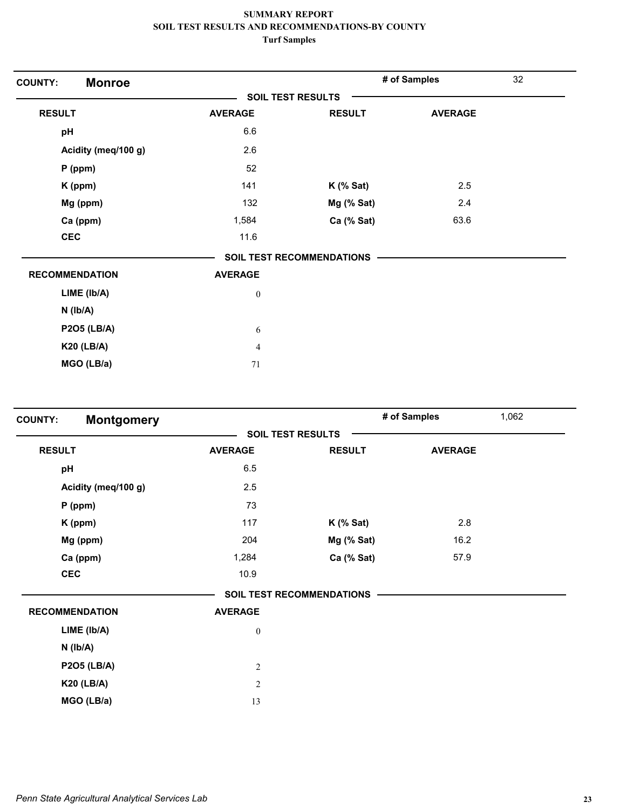| <b>Monroe</b><br><b>COUNTY:</b> |                          |                                  | # of Samples   | 32 |
|---------------------------------|--------------------------|----------------------------------|----------------|----|
|                                 | <b>SOIL TEST RESULTS</b> |                                  |                |    |
| <b>RESULT</b>                   | <b>AVERAGE</b>           | <b>RESULT</b>                    | <b>AVERAGE</b> |    |
| pH                              | 6.6                      |                                  |                |    |
| Acidity (meq/100 g)             | 2.6                      |                                  |                |    |
| $P$ (ppm)                       | 52                       |                                  |                |    |
| K (ppm)                         | 141                      | $K$ (% Sat)                      | 2.5            |    |
| Mg (ppm)                        | 132                      | Mg (% Sat)                       | 2.4            |    |
| Ca (ppm)                        | 1,584                    | Ca (% Sat)                       | 63.6           |    |
| <b>CEC</b>                      | 11.6                     |                                  |                |    |
|                                 |                          | <b>SOIL TEST RECOMMENDATIONS</b> |                |    |
| <b>RECOMMENDATION</b>           | <b>AVERAGE</b>           |                                  |                |    |
| LIME (Ib/A)                     | $\boldsymbol{0}$         |                                  |                |    |
| $N$ ( $lb/A$ )                  |                          |                                  |                |    |
| <b>P2O5 (LB/A)</b>              | $\sqrt{6}$               |                                  |                |    |
| <b>K20 (LB/A)</b>               | $\overline{\mathcal{A}}$ |                                  |                |    |
| MGO (LB/a)                      | 71                       |                                  |                |    |

| <b>COUNTY:</b> | <b>Montgomery</b>     |                          |                           | # of Samples<br>1,062 |  |
|----------------|-----------------------|--------------------------|---------------------------|-----------------------|--|
|                |                       | <b>SOIL TEST RESULTS</b> |                           |                       |  |
| <b>RESULT</b>  |                       | <b>AVERAGE</b>           | <b>RESULT</b>             | <b>AVERAGE</b>        |  |
| pH             |                       | 6.5                      |                           |                       |  |
|                | Acidity (meq/100 g)   | 2.5                      |                           |                       |  |
|                | $P$ (ppm)             | 73                       |                           |                       |  |
|                | K (ppm)               | 117                      | $K$ (% Sat)               | 2.8                   |  |
|                | Mg (ppm)              | 204                      | Mg (% Sat)                | 16.2                  |  |
|                | Ca (ppm)              | 1,284                    | Ca (% Sat)                | 57.9                  |  |
| <b>CEC</b>     |                       | 10.9                     |                           |                       |  |
|                |                       |                          | SOIL TEST RECOMMENDATIONS |                       |  |
|                | <b>RECOMMENDATION</b> | <b>AVERAGE</b>           |                           |                       |  |
|                | LIME (lb/A)           | $\boldsymbol{0}$         |                           |                       |  |
|                | $N$ ( $lb/A$ )        |                          |                           |                       |  |
|                | <b>P2O5 (LB/A)</b>    | $\sqrt{2}$               |                           |                       |  |
|                | <b>K20 (LB/A)</b>     | $\overline{2}$           |                           |                       |  |
|                | MGO (LB/a)            | 13                       |                           |                       |  |
|                |                       |                          |                           |                       |  |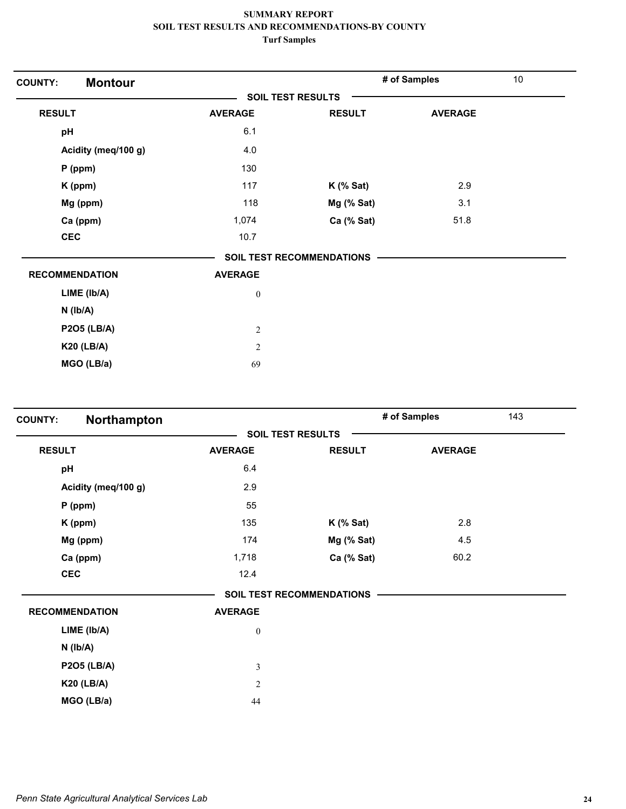| <b>Montour</b><br><b>COUNTY:</b> |                  |                                  | # of Samples   | 10 |
|----------------------------------|------------------|----------------------------------|----------------|----|
|                                  |                  | <b>SOIL TEST RESULTS</b>         |                |    |
| <b>RESULT</b>                    | <b>AVERAGE</b>   | <b>RESULT</b>                    | <b>AVERAGE</b> |    |
| pH                               | 6.1              |                                  |                |    |
| Acidity (meq/100 g)              | 4.0              |                                  |                |    |
| $P$ (ppm)                        | 130              |                                  |                |    |
| K (ppm)                          | 117              | $K$ (% Sat)                      | 2.9            |    |
| Mg (ppm)                         | 118              | Mg (% Sat)                       | 3.1            |    |
| Ca (ppm)                         | 1,074            | Ca (% Sat)                       | 51.8           |    |
| <b>CEC</b>                       | 10.7             |                                  |                |    |
|                                  |                  | <b>SOIL TEST RECOMMENDATIONS</b> |                |    |
| <b>RECOMMENDATION</b>            | <b>AVERAGE</b>   |                                  |                |    |
| LIME (Ib/A)                      | $\boldsymbol{0}$ |                                  |                |    |
| $N$ ( $lb/A$ )                   |                  |                                  |                |    |
| <b>P2O5 (LB/A)</b>               | $\sqrt{2}$       |                                  |                |    |
| <b>K20 (LB/A)</b>                | $\mathbf{2}$     |                                  |                |    |
| MGO (LB/a)                       | 69               |                                  |                |    |

| Northampton<br><b>COUNTY:</b> |                  |                                  | # of Samples   | 143 |
|-------------------------------|------------------|----------------------------------|----------------|-----|
|                               |                  | <b>SOIL TEST RESULTS</b>         |                |     |
| <b>RESULT</b>                 | <b>AVERAGE</b>   | <b>RESULT</b>                    | <b>AVERAGE</b> |     |
| pH                            | 6.4              |                                  |                |     |
| Acidity (meq/100 g)           | 2.9              |                                  |                |     |
| $P$ (ppm)                     | 55               |                                  |                |     |
| K (ppm)                       | 135              | $K$ (% Sat)                      | 2.8            |     |
| Mg (ppm)                      | 174              | Mg (% Sat)                       | 4.5            |     |
| Ca (ppm)                      | 1,718            | Ca (% Sat)                       | 60.2           |     |
| <b>CEC</b>                    | 12.4             |                                  |                |     |
|                               |                  | <b>SOIL TEST RECOMMENDATIONS</b> |                |     |
| <b>RECOMMENDATION</b>         | <b>AVERAGE</b>   |                                  |                |     |
| LIME (lb/A)                   | $\boldsymbol{0}$ |                                  |                |     |
| $N$ ( $lb/A$ )                |                  |                                  |                |     |
| <b>P2O5 (LB/A)</b>            | $\mathfrak{Z}$   |                                  |                |     |
| <b>K20 (LB/A)</b>             | $\mathfrak{2}$   |                                  |                |     |
| MGO (LB/a)                    | 44               |                                  |                |     |
|                               |                  |                                  |                |     |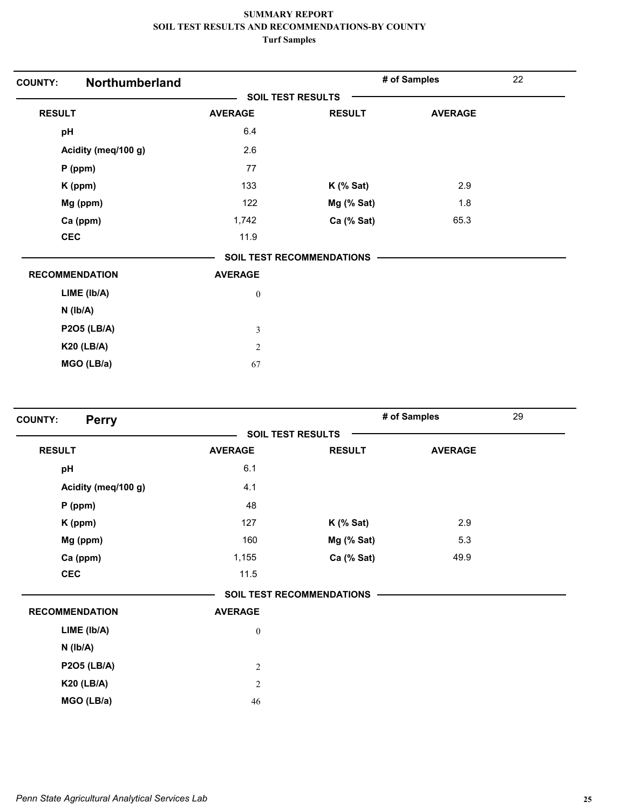| Northumberland<br><b>RESULT</b> | <b>SOIL TEST RESULTS</b><br><b>AVERAGE</b> | <b>RESULT</b>                    |                |  |
|---------------------------------|--------------------------------------------|----------------------------------|----------------|--|
|                                 |                                            |                                  |                |  |
|                                 |                                            |                                  | <b>AVERAGE</b> |  |
| pH                              | 6.4                                        |                                  |                |  |
| Acidity (meq/100 g)             | 2.6                                        |                                  |                |  |
| $P$ (ppm)                       | 77                                         |                                  |                |  |
| K (ppm)                         | 133                                        | $K$ (% Sat)                      | 2.9            |  |
| Mg (ppm)                        | 122                                        | Mg (% Sat)                       | 1.8            |  |
| Ca (ppm)                        | 1,742                                      | Ca (% Sat)                       | 65.3           |  |
| <b>CEC</b>                      | 11.9                                       |                                  |                |  |
|                                 |                                            | <b>SOIL TEST RECOMMENDATIONS</b> |                |  |
| <b>RECOMMENDATION</b>           | <b>AVERAGE</b>                             |                                  |                |  |
| LIME (Ib/A)                     | $\boldsymbol{0}$                           |                                  |                |  |
| $N$ ( $lb/A$ )                  |                                            |                                  |                |  |
| <b>P2O5 (LB/A)</b>              | $\mathfrak{Z}$                             |                                  |                |  |
| <b>K20 (LB/A)</b>               | $\overline{c}$                             |                                  |                |  |
| MGO (LB/a)                      | 67                                         |                                  |                |  |

| <b>Perry</b><br><b>COUNTY:</b> |                  |                                  | # of Samples   | 29 |
|--------------------------------|------------------|----------------------------------|----------------|----|
|                                |                  | <b>SOIL TEST RESULTS</b>         |                |    |
| <b>RESULT</b>                  | <b>AVERAGE</b>   | <b>RESULT</b>                    | <b>AVERAGE</b> |    |
| pH                             | 6.1              |                                  |                |    |
| Acidity (meq/100 g)            | 4.1              |                                  |                |    |
| $P$ (ppm)                      | 48               |                                  |                |    |
| K (ppm)                        | 127              | $K$ (% Sat)                      | 2.9            |    |
| Mg (ppm)                       | 160              | Mg (% Sat)                       | 5.3            |    |
| Ca (ppm)                       | 1,155            | Ca (% Sat)                       | 49.9           |    |
| <b>CEC</b>                     | 11.5             |                                  |                |    |
|                                |                  | <b>SOIL TEST RECOMMENDATIONS</b> |                |    |
| <b>RECOMMENDATION</b>          | <b>AVERAGE</b>   |                                  |                |    |
| LIME (lb/A)                    | $\boldsymbol{0}$ |                                  |                |    |
| $N$ ( $lb/A$ )                 |                  |                                  |                |    |
| <b>P2O5 (LB/A)</b>             | $\overline{c}$   |                                  |                |    |
| <b>K20 (LB/A)</b>              | $\sqrt{2}$       |                                  |                |    |
| MGO (LB/a)                     | 46               |                                  |                |    |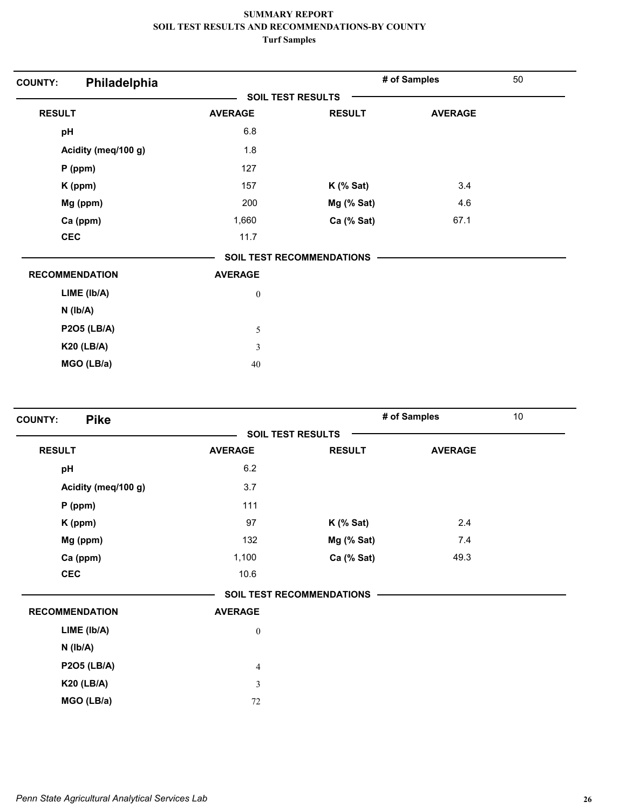| Philadelphia<br><b>COUNTY:</b> |                          |                                  | # of Samples   | 50 |
|--------------------------------|--------------------------|----------------------------------|----------------|----|
|                                | <b>SOIL TEST RESULTS</b> |                                  |                |    |
| <b>RESULT</b>                  | <b>AVERAGE</b>           | <b>RESULT</b>                    | <b>AVERAGE</b> |    |
| pH                             | 6.8                      |                                  |                |    |
| Acidity (meq/100 g)            | 1.8                      |                                  |                |    |
| $P$ (ppm)                      | 127                      |                                  |                |    |
| K (ppm)                        | 157                      | $K$ (% Sat)                      | 3.4            |    |
| Mg (ppm)                       | 200                      | Mg (% Sat)                       | 4.6            |    |
| Ca (ppm)                       | 1,660                    | Ca (% Sat)                       | 67.1           |    |
| <b>CEC</b>                     | 11.7                     |                                  |                |    |
|                                |                          | <b>SOIL TEST RECOMMENDATIONS</b> |                |    |
| <b>RECOMMENDATION</b>          | <b>AVERAGE</b>           |                                  |                |    |
| LIME (Ib/A)                    | $\boldsymbol{0}$         |                                  |                |    |
| $N$ ( $lb/A$ )                 |                          |                                  |                |    |
| <b>P2O5 (LB/A)</b>             | $\mathfrak s$            |                                  |                |    |
| <b>K20 (LB/A)</b>              | $\mathfrak{Z}$           |                                  |                |    |
| MGO (LB/a)                     | 40                       |                                  |                |    |

| <b>Pike</b><br><b>COUNTY:</b> |                  |                                  | # of Samples   | $10$ |
|-------------------------------|------------------|----------------------------------|----------------|------|
|                               |                  | <b>SOIL TEST RESULTS</b>         |                |      |
| <b>RESULT</b>                 | <b>AVERAGE</b>   | <b>RESULT</b>                    | <b>AVERAGE</b> |      |
| pH                            | 6.2              |                                  |                |      |
| Acidity (meq/100 g)           | 3.7              |                                  |                |      |
| $P$ (ppm)                     | 111              |                                  |                |      |
| K (ppm)                       | 97               | $K$ (% Sat)                      | 2.4            |      |
| Mg (ppm)                      | 132              | Mg (% Sat)                       | 7.4            |      |
| Ca (ppm)                      | 1,100            | Ca (% Sat)                       | 49.3           |      |
| <b>CEC</b>                    | 10.6             |                                  |                |      |
|                               |                  | <b>SOIL TEST RECOMMENDATIONS</b> |                |      |
| <b>RECOMMENDATION</b>         | <b>AVERAGE</b>   |                                  |                |      |
| LIME (lb/A)                   | $\boldsymbol{0}$ |                                  |                |      |
| $N$ ( $lb/A$ )                |                  |                                  |                |      |
| <b>P2O5 (LB/A)</b>            | $\overline{4}$   |                                  |                |      |
| <b>K20 (LB/A)</b>             | 3                |                                  |                |      |
| MGO (LB/a)                    | 72               |                                  |                |      |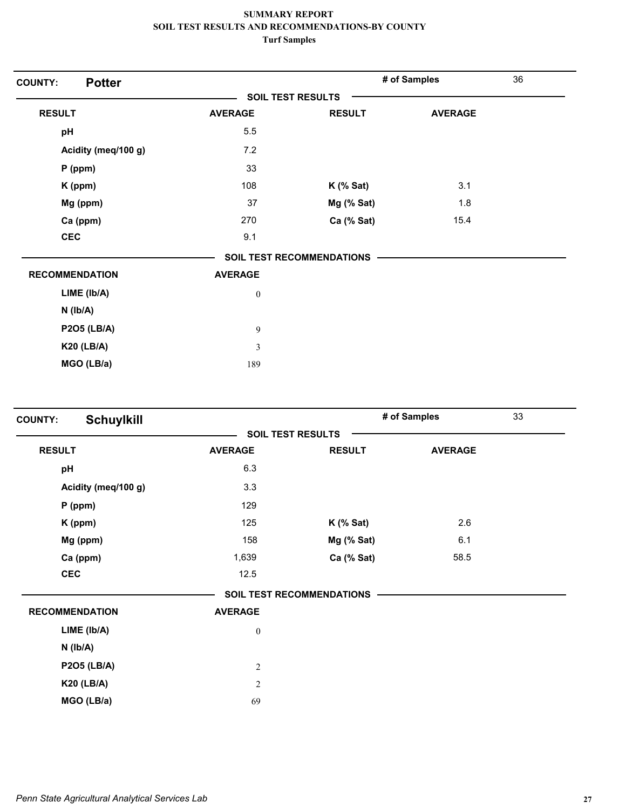| <b>Potter</b><br><b>COUNTY:</b> |                  |                           | # of Samples   | 36 |
|---------------------------------|------------------|---------------------------|----------------|----|
|                                 |                  | <b>SOIL TEST RESULTS</b>  |                |    |
| <b>RESULT</b>                   | <b>AVERAGE</b>   | <b>RESULT</b>             | <b>AVERAGE</b> |    |
| pH                              | 5.5              |                           |                |    |
| Acidity (meq/100 g)             | 7.2              |                           |                |    |
| $P$ (ppm)                       | 33               |                           |                |    |
| K (ppm)                         | 108              | $K$ (% Sat)               | 3.1            |    |
| Mg (ppm)                        | 37               | Mg (% Sat)                | 1.8            |    |
| Ca (ppm)                        | 270              | Ca (% Sat)                | 15.4           |    |
| <b>CEC</b>                      | 9.1              |                           |                |    |
|                                 |                  | SOIL TEST RECOMMENDATIONS |                |    |
| <b>RECOMMENDATION</b>           | <b>AVERAGE</b>   |                           |                |    |
| LIME (Ib/A)                     | $\boldsymbol{0}$ |                           |                |    |
| $N$ ( $Ib/A$ )                  |                  |                           |                |    |
| <b>P2O5 (LB/A)</b>              | 9                |                           |                |    |
| <b>K20 (LB/A)</b>               | $\mathfrak{Z}$   |                           |                |    |
| MGO (LB/a)                      | 189              |                           |                |    |

| <b>Schuylkill</b><br><b>COUNTY:</b> |                       |                  |                                  | # of Samples   | 33 |
|-------------------------------------|-----------------------|------------------|----------------------------------|----------------|----|
|                                     |                       |                  | <b>SOIL TEST RESULTS</b>         |                |    |
| <b>RESULT</b>                       |                       | <b>AVERAGE</b>   | <b>RESULT</b>                    | <b>AVERAGE</b> |    |
| pH                                  |                       | 6.3              |                                  |                |    |
|                                     | Acidity (meq/100 g)   | 3.3              |                                  |                |    |
|                                     | $P$ (ppm)             | 129              |                                  |                |    |
|                                     | K (ppm)               | 125              | $K$ (% Sat)                      | 2.6            |    |
|                                     | Mg (ppm)              | 158              | Mg (% Sat)                       | 6.1            |    |
|                                     | Ca (ppm)              | 1,639            | Ca (% Sat)                       | 58.5           |    |
|                                     | <b>CEC</b>            | 12.5             |                                  |                |    |
|                                     |                       |                  | <b>SOIL TEST RECOMMENDATIONS</b> |                |    |
|                                     | <b>RECOMMENDATION</b> | <b>AVERAGE</b>   |                                  |                |    |
|                                     | LIME (Ib/A)           | $\boldsymbol{0}$ |                                  |                |    |
|                                     | $N$ ( $Ib/A$ )        |                  |                                  |                |    |
|                                     | <b>P2O5 (LB/A)</b>    | $\sqrt{2}$       |                                  |                |    |
|                                     | <b>K20 (LB/A)</b>     | $\sqrt{2}$       |                                  |                |    |
|                                     | MGO (LB/a)            | 69               |                                  |                |    |
|                                     |                       |                  |                                  |                |    |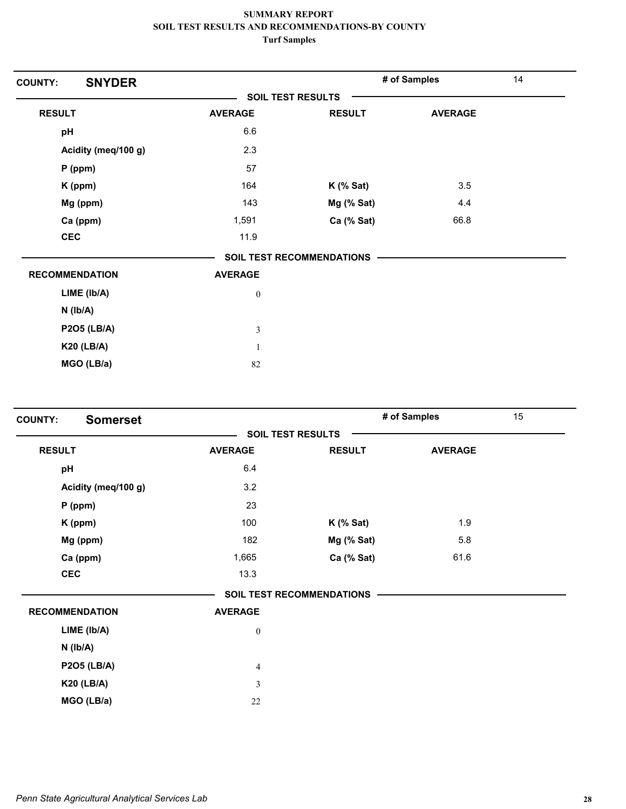| <b>SNYDER</b><br><b>COUNTY:</b> |                          |                                  | # of Samples   | 14 |
|---------------------------------|--------------------------|----------------------------------|----------------|----|
|                                 | <b>SOIL TEST RESULTS</b> |                                  |                |    |
| <b>RESULT</b>                   | <b>AVERAGE</b>           | <b>RESULT</b>                    | <b>AVERAGE</b> |    |
| pH                              | 6.6                      |                                  |                |    |
| Acidity (meq/100 g)             | 2.3                      |                                  |                |    |
| $P$ (ppm)                       | 57                       |                                  |                |    |
| K (ppm)                         | 164                      | $K$ (% Sat)                      | 3.5            |    |
| Mg (ppm)                        | 143                      | Mg (% Sat)                       | 4.4            |    |
| Ca (ppm)                        | 1,591                    | Ca (% Sat)                       | 66.8           |    |
| <b>CEC</b>                      | 11.9                     |                                  |                |    |
|                                 |                          | <b>SOIL TEST RECOMMENDATIONS</b> |                |    |
| <b>RECOMMENDATION</b>           | <b>AVERAGE</b>           |                                  |                |    |
| LIME (Ib/A)                     | $\boldsymbol{0}$         |                                  |                |    |
| $N$ ( $lb/A$ )                  |                          |                                  |                |    |
| <b>P2O5 (LB/A)</b>              | $\mathfrak{Z}$           |                                  |                |    |
| <b>K20 (LB/A)</b>               | $\mathbf{1}$             |                                  |                |    |
| MGO (LB/a)                      | 82                       |                                  |                |    |

| <b>Somerset</b><br><b>COUNTY:</b> |                  |                                  | # of Samples   | 15 |
|-----------------------------------|------------------|----------------------------------|----------------|----|
|                                   |                  | <b>SOIL TEST RESULTS</b>         |                |    |
| <b>RESULT</b>                     | <b>AVERAGE</b>   | <b>RESULT</b>                    | <b>AVERAGE</b> |    |
| pH                                | 6.4              |                                  |                |    |
| Acidity (meq/100 g)               | 3.2              |                                  |                |    |
| $P$ (ppm)                         | 23               |                                  |                |    |
| K (ppm)                           | 100              | $K$ (% Sat)                      | 1.9            |    |
| Mg (ppm)                          | 182              | Mg (% Sat)                       | 5.8            |    |
| Ca (ppm)                          | 1,665            | Ca (% Sat)                       | 61.6           |    |
| <b>CEC</b>                        | 13.3             |                                  |                |    |
|                                   |                  | <b>SOIL TEST RECOMMENDATIONS</b> |                |    |
| <b>RECOMMENDATION</b>             | <b>AVERAGE</b>   |                                  |                |    |
| LIME (Ib/A)                       | $\boldsymbol{0}$ |                                  |                |    |
| $N$ ( $Ib/A$ )                    |                  |                                  |                |    |
| <b>P2O5 (LB/A)</b>                | $\overline{4}$   |                                  |                |    |
| <b>K20 (LB/A)</b>                 | $\mathfrak{Z}$   |                                  |                |    |
| MGO (LB/a)                        | $22\,$           |                                  |                |    |
|                                   |                  |                                  |                |    |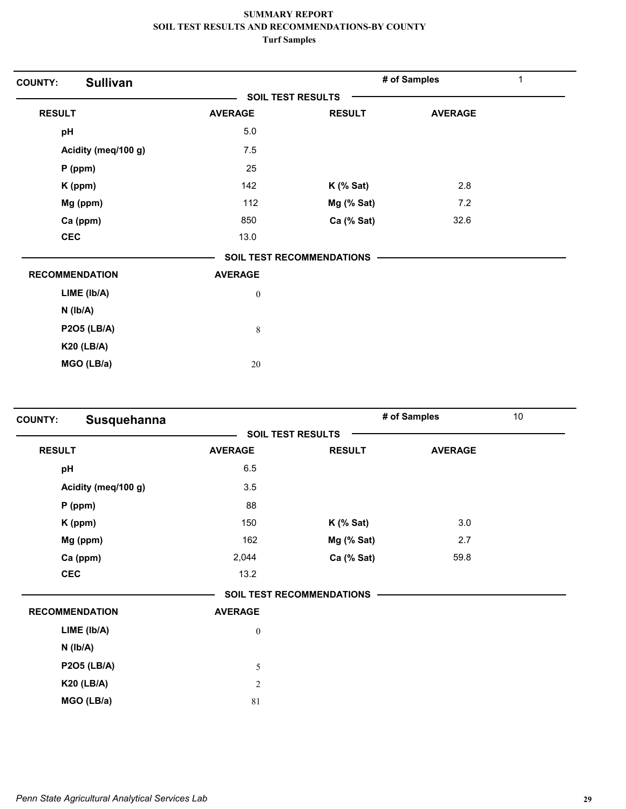| <b>Sullivan</b><br><b>COUNTY:</b> |                  |                                  | # of Samples   | 1 |
|-----------------------------------|------------------|----------------------------------|----------------|---|
|                                   |                  | <b>SOIL TEST RESULTS</b>         |                |   |
| <b>RESULT</b>                     | <b>AVERAGE</b>   | <b>RESULT</b>                    | <b>AVERAGE</b> |   |
| pH                                | $5.0\,$          |                                  |                |   |
| Acidity (meq/100 g)               | 7.5              |                                  |                |   |
| $P$ (ppm)                         | 25               |                                  |                |   |
| K (ppm)                           | 142              | $K$ (% Sat)                      | 2.8            |   |
| Mg (ppm)                          | 112              | Mg (% Sat)                       | 7.2            |   |
| Ca (ppm)                          | 850              | Ca (% Sat)                       | 32.6           |   |
| <b>CEC</b>                        | 13.0             |                                  |                |   |
|                                   |                  | <b>SOIL TEST RECOMMENDATIONS</b> |                |   |
| <b>RECOMMENDATION</b>             | <b>AVERAGE</b>   |                                  |                |   |
| LIME (lb/A)                       | $\boldsymbol{0}$ |                                  |                |   |
| $N$ ( $Ib/A$ )                    |                  |                                  |                |   |
| <b>P2O5 (LB/A)</b>                | $\,$ 8 $\,$      |                                  |                |   |
| <b>K20 (LB/A)</b>                 |                  |                                  |                |   |
| MGO (LB/a)                        | 20               |                                  |                |   |

| <b>COUNTY:</b> | Susquehanna           |                          |                                  | # of Samples   | 10 |
|----------------|-----------------------|--------------------------|----------------------------------|----------------|----|
|                |                       | <b>SOIL TEST RESULTS</b> |                                  |                |    |
| <b>RESULT</b>  |                       | <b>AVERAGE</b>           | <b>RESULT</b>                    | <b>AVERAGE</b> |    |
| pH             |                       | 6.5                      |                                  |                |    |
|                | Acidity (meq/100 g)   | 3.5                      |                                  |                |    |
|                | $P$ (ppm)             | 88                       |                                  |                |    |
|                | K (ppm)               | 150                      | $K$ (% Sat)                      | 3.0            |    |
|                | Mg (ppm)              | 162                      | Mg (% Sat)                       | 2.7            |    |
|                | Ca (ppm)              | 2,044                    | Ca (% Sat)                       | 59.8           |    |
|                | <b>CEC</b>            | 13.2                     |                                  |                |    |
|                |                       |                          | <b>SOIL TEST RECOMMENDATIONS</b> |                |    |
|                | <b>RECOMMENDATION</b> | <b>AVERAGE</b>           |                                  |                |    |
|                | LIME (lb/A)           | $\boldsymbol{0}$         |                                  |                |    |
|                | $N$ ( $lb/A$ )        |                          |                                  |                |    |
|                | <b>P2O5 (LB/A)</b>    | 5                        |                                  |                |    |
|                | <b>K20 (LB/A)</b>     | $\sqrt{2}$               |                                  |                |    |
|                | MGO (LB/a)            | 81                       |                                  |                |    |
|                |                       |                          |                                  |                |    |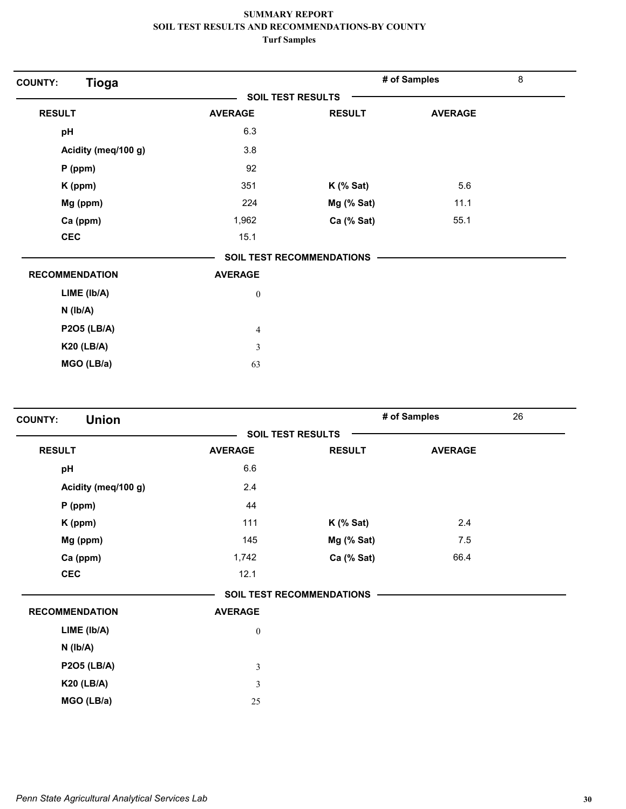| <b>Tioga</b><br><b>COUNTY:</b> |                          |                           | # of Samples   | 8 |
|--------------------------------|--------------------------|---------------------------|----------------|---|
|                                | <b>SOIL TEST RESULTS</b> |                           |                |   |
| <b>RESULT</b>                  | <b>AVERAGE</b>           | <b>RESULT</b>             | <b>AVERAGE</b> |   |
| pH                             | 6.3                      |                           |                |   |
| Acidity (meq/100 g)            | 3.8                      |                           |                |   |
| $P$ (ppm)                      | 92                       |                           |                |   |
| K (ppm)                        | 351                      | $K$ (% Sat)               | 5.6            |   |
| Mg (ppm)                       | 224                      | Mg (% Sat)                | 11.1           |   |
| Ca (ppm)                       | 1,962                    | Ca (% Sat)                | 55.1           |   |
| <b>CEC</b>                     | 15.1                     |                           |                |   |
|                                |                          | SOIL TEST RECOMMENDATIONS |                |   |
| <b>RECOMMENDATION</b>          | <b>AVERAGE</b>           |                           |                |   |
| LIME (Ib/A)                    | $\boldsymbol{0}$         |                           |                |   |
| $N$ ( $Ib/A$ )                 |                          |                           |                |   |
| <b>P2O5 (LB/A)</b>             | $\overline{4}$           |                           |                |   |
| <b>K20 (LB/A)</b>              | 3                        |                           |                |   |
| MGO (LB/a)                     | 63                       |                           |                |   |

| <b>Union</b><br><b>COUNTY:</b> |                  |                                  | # of Samples   | 26 |
|--------------------------------|------------------|----------------------------------|----------------|----|
|                                |                  | <b>SOIL TEST RESULTS</b>         |                |    |
| <b>RESULT</b>                  | <b>AVERAGE</b>   | <b>RESULT</b>                    | <b>AVERAGE</b> |    |
| pH                             | 6.6              |                                  |                |    |
| Acidity (meq/100 g)            | 2.4              |                                  |                |    |
| $P$ (ppm)                      | 44               |                                  |                |    |
| K (ppm)                        | 111              | $K$ (% Sat)                      | 2.4            |    |
| Mg (ppm)                       | 145              | Mg (% Sat)                       | 7.5            |    |
| Ca (ppm)                       | 1,742            | Ca (% Sat)                       | 66.4           |    |
| <b>CEC</b>                     | 12.1             |                                  |                |    |
|                                |                  | <b>SOIL TEST RECOMMENDATIONS</b> |                |    |
| <b>RECOMMENDATION</b>          | <b>AVERAGE</b>   |                                  |                |    |
| LIME (Ib/A)                    | $\boldsymbol{0}$ |                                  |                |    |
| $N$ ( $Ib/A$ )                 |                  |                                  |                |    |
| <b>P2O5 (LB/A)</b>             | $\mathfrak{Z}$   |                                  |                |    |
| <b>K20 (LB/A)</b>              | 3                |                                  |                |    |
| MGO (LB/a)                     | 25               |                                  |                |    |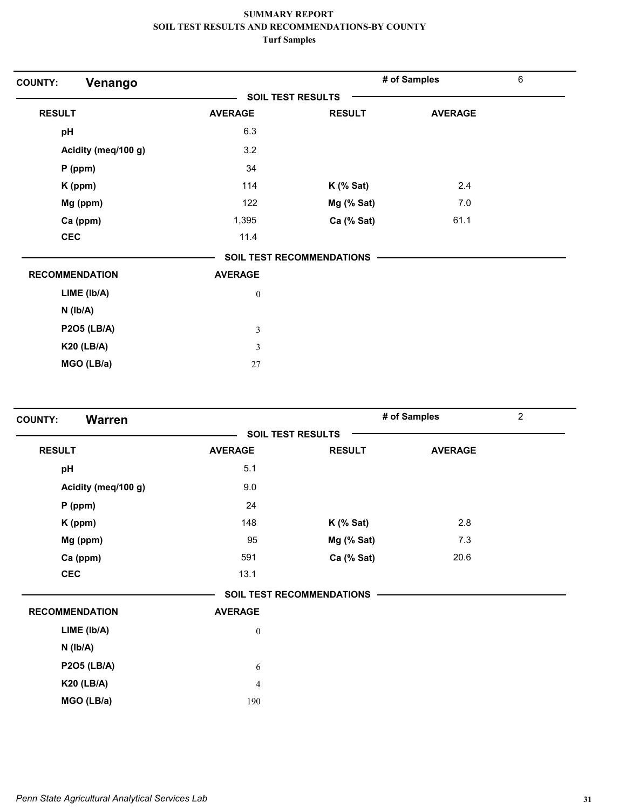| <b>COUNTY:</b><br>Venango |                          |                                  | # of Samples   | $\,6\,$ |
|---------------------------|--------------------------|----------------------------------|----------------|---------|
|                           | <b>SOIL TEST RESULTS</b> |                                  |                |         |
| <b>RESULT</b>             | <b>AVERAGE</b>           | <b>RESULT</b>                    | <b>AVERAGE</b> |         |
| pH                        | 6.3                      |                                  |                |         |
| Acidity (meq/100 g)       | 3.2                      |                                  |                |         |
| P (ppm)                   | 34                       |                                  |                |         |
| K (ppm)                   | 114                      | $K$ (% Sat)                      | 2.4            |         |
| Mg (ppm)                  | 122                      | Mg (% Sat)                       | 7.0            |         |
| Ca (ppm)                  | 1,395                    | Ca (% Sat)                       | 61.1           |         |
| <b>CEC</b>                | 11.4                     |                                  |                |         |
|                           |                          | <b>SOIL TEST RECOMMENDATIONS</b> |                |         |
| <b>RECOMMENDATION</b>     | <b>AVERAGE</b>           |                                  |                |         |
| LIME (Ib/A)               | $\boldsymbol{0}$         |                                  |                |         |
| $N$ ( $lb/A$ )            |                          |                                  |                |         |
| <b>P2O5 (LB/A)</b>        | $\mathfrak{Z}$           |                                  |                |         |
| <b>K20 (LB/A)</b>         | 3                        |                                  |                |         |
| MGO (LB/a)                | 27                       |                                  |                |         |

| <b>Warren</b><br><b>COUNTY:</b> |                          |                                  | # of Samples   | $\overline{c}$ |
|---------------------------------|--------------------------|----------------------------------|----------------|----------------|
|                                 | <b>SOIL TEST RESULTS</b> |                                  |                |                |
| <b>RESULT</b>                   | <b>AVERAGE</b>           | <b>RESULT</b>                    | <b>AVERAGE</b> |                |
| pH                              | 5.1                      |                                  |                |                |
| Acidity (meq/100 g)             | 9.0                      |                                  |                |                |
| $P$ (ppm)                       | 24                       |                                  |                |                |
| K (ppm)                         | 148                      | $K$ (% Sat)                      | 2.8            |                |
| Mg (ppm)                        | 95                       | Mg (% Sat)                       | 7.3            |                |
| Ca (ppm)                        | 591                      | Ca (% Sat)                       | 20.6           |                |
| <b>CEC</b>                      | 13.1                     |                                  |                |                |
|                                 |                          | <b>SOIL TEST RECOMMENDATIONS</b> |                |                |
| <b>RECOMMENDATION</b>           | <b>AVERAGE</b>           |                                  |                |                |
| LIME (Ib/A)                     | $\boldsymbol{0}$         |                                  |                |                |
| $N$ ( $lb/A$ )                  |                          |                                  |                |                |
| <b>P2O5 (LB/A)</b>              | 6                        |                                  |                |                |
| <b>K20 (LB/A)</b>               | $\overline{4}$           |                                  |                |                |
| MGO (LB/a)                      | 190                      |                                  |                |                |
|                                 |                          |                                  |                |                |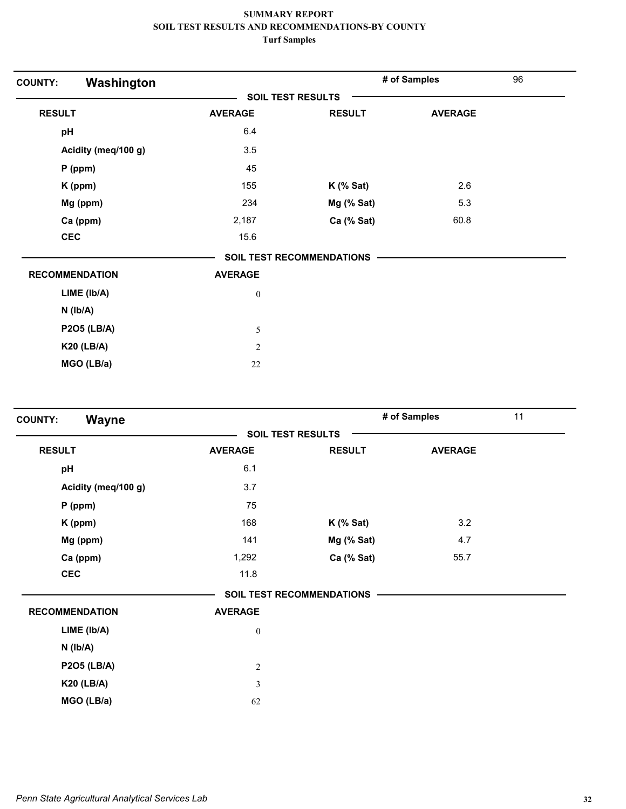| Washington<br><b>COUNTY:</b> |                  |                                  | # of Samples   | 96 |
|------------------------------|------------------|----------------------------------|----------------|----|
|                              |                  | <b>SOIL TEST RESULTS</b>         |                |    |
| <b>RESULT</b>                | <b>AVERAGE</b>   | <b>RESULT</b>                    | <b>AVERAGE</b> |    |
| pH                           | 6.4              |                                  |                |    |
| Acidity (meq/100 g)          | 3.5              |                                  |                |    |
| $P$ (ppm)                    | 45               |                                  |                |    |
| K (ppm)                      | 155              | $K$ (% Sat)                      | 2.6            |    |
| Mg (ppm)                     | 234              | Mg (% Sat)                       | 5.3            |    |
| Ca (ppm)                     | 2,187            | Ca (% Sat)                       | 60.8           |    |
| <b>CEC</b>                   | 15.6             |                                  |                |    |
|                              |                  | <b>SOIL TEST RECOMMENDATIONS</b> |                |    |
| <b>RECOMMENDATION</b>        | <b>AVERAGE</b>   |                                  |                |    |
| LIME (lb/A)                  | $\boldsymbol{0}$ |                                  |                |    |
| $N$ ( $lb/A$ )               |                  |                                  |                |    |
| <b>P2O5 (LB/A)</b>           | 5                |                                  |                |    |
| <b>K20 (LB/A)</b>            | $\overline{2}$   |                                  |                |    |
| MGO (LB/a)                   | 22               |                                  |                |    |

| Wayne<br><b>COUNTY:</b> |                          |                                  | # of Samples   | 11 |
|-------------------------|--------------------------|----------------------------------|----------------|----|
|                         | <b>SOIL TEST RESULTS</b> |                                  |                |    |
| <b>RESULT</b>           | <b>AVERAGE</b>           | <b>RESULT</b>                    | <b>AVERAGE</b> |    |
| pH                      | 6.1                      |                                  |                |    |
| Acidity (meq/100 g)     | 3.7                      |                                  |                |    |
| $P$ (ppm)               | 75                       |                                  |                |    |
| K (ppm)                 | 168                      | $K$ (% Sat)                      | 3.2            |    |
| Mg (ppm)                | 141                      | Mg (% Sat)                       | 4.7            |    |
| Ca (ppm)                | 1,292                    | Ca (% Sat)                       | 55.7           |    |
| <b>CEC</b>              | 11.8                     |                                  |                |    |
|                         |                          | <b>SOIL TEST RECOMMENDATIONS</b> |                |    |
| <b>RECOMMENDATION</b>   | <b>AVERAGE</b>           |                                  |                |    |
| LIME (Ib/A)             | $\boldsymbol{0}$         |                                  |                |    |
| $N$ ( $Ib/A$ )          |                          |                                  |                |    |
| <b>P2O5 (LB/A)</b>      | $\sqrt{2}$               |                                  |                |    |
| <b>K20 (LB/A)</b>       | 3                        |                                  |                |    |
| MGO (LB/a)              | 62                       |                                  |                |    |
|                         |                          |                                  |                |    |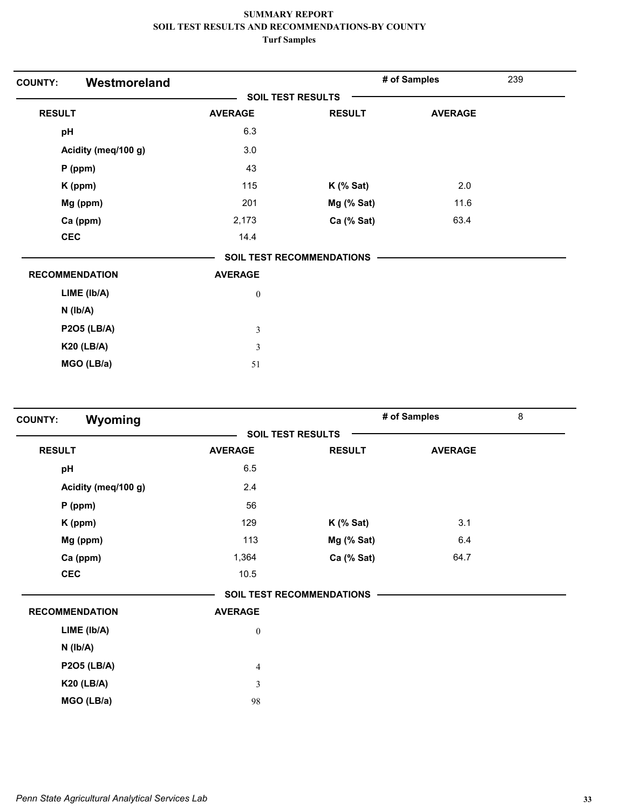| Westmoreland<br><b>COUNTY:</b> |                  |                           | # of Samples   | 239 |
|--------------------------------|------------------|---------------------------|----------------|-----|
|                                |                  | <b>SOIL TEST RESULTS</b>  |                |     |
| <b>RESULT</b>                  | <b>AVERAGE</b>   | <b>RESULT</b>             | <b>AVERAGE</b> |     |
| pH                             | 6.3              |                           |                |     |
| Acidity (meq/100 g)            | 3.0              |                           |                |     |
| P (ppm)                        | 43               |                           |                |     |
| K (ppm)                        | 115              | $K$ (% Sat)               | 2.0            |     |
| Mg (ppm)                       | 201              | Mg (% Sat)                | 11.6           |     |
| Ca (ppm)                       | 2,173            | Ca (% Sat)                | 63.4           |     |
| <b>CEC</b>                     | 14.4             |                           |                |     |
|                                |                  | SOIL TEST RECOMMENDATIONS |                |     |
| <b>RECOMMENDATION</b>          | <b>AVERAGE</b>   |                           |                |     |
| LIME (Ib/A)                    | $\boldsymbol{0}$ |                           |                |     |
| $N$ ( $lb/A$ )                 |                  |                           |                |     |
| <b>P2O5 (LB/A)</b>             | $\mathfrak{Z}$   |                           |                |     |
| <b>K20 (LB/A)</b>              | $\mathfrak{Z}$   |                           |                |     |
| MGO (LB/a)                     | 51               |                           |                |     |

| Wyoming<br><b>COUNTY:</b> |                          |                                  | # of Samples   | 8 |
|---------------------------|--------------------------|----------------------------------|----------------|---|
|                           | <b>SOIL TEST RESULTS</b> |                                  |                |   |
| <b>RESULT</b>             | <b>AVERAGE</b>           | <b>RESULT</b>                    | <b>AVERAGE</b> |   |
| pH                        | 6.5                      |                                  |                |   |
| Acidity (meq/100 g)       | 2.4                      |                                  |                |   |
| $P$ (ppm)                 | 56                       |                                  |                |   |
| K (ppm)                   | 129                      | $K$ (% Sat)                      | 3.1            |   |
| Mg (ppm)                  | 113                      | Mg (% Sat)                       | 6.4            |   |
| Ca (ppm)                  | 1,364                    | Ca (% Sat)                       | 64.7           |   |
| <b>CEC</b>                | 10.5                     |                                  |                |   |
|                           |                          | <b>SOIL TEST RECOMMENDATIONS</b> |                |   |
| <b>RECOMMENDATION</b>     | <b>AVERAGE</b>           |                                  |                |   |
| LIME (Ib/A)               | $\boldsymbol{0}$         |                                  |                |   |
| $N$ ( $Ib/A$ )            |                          |                                  |                |   |
| <b>P2O5 (LB/A)</b>        | $\overline{4}$           |                                  |                |   |
| <b>K20 (LB/A)</b>         | $\mathfrak{Z}$           |                                  |                |   |
| MGO (LB/a)                | 98                       |                                  |                |   |
|                           |                          |                                  |                |   |